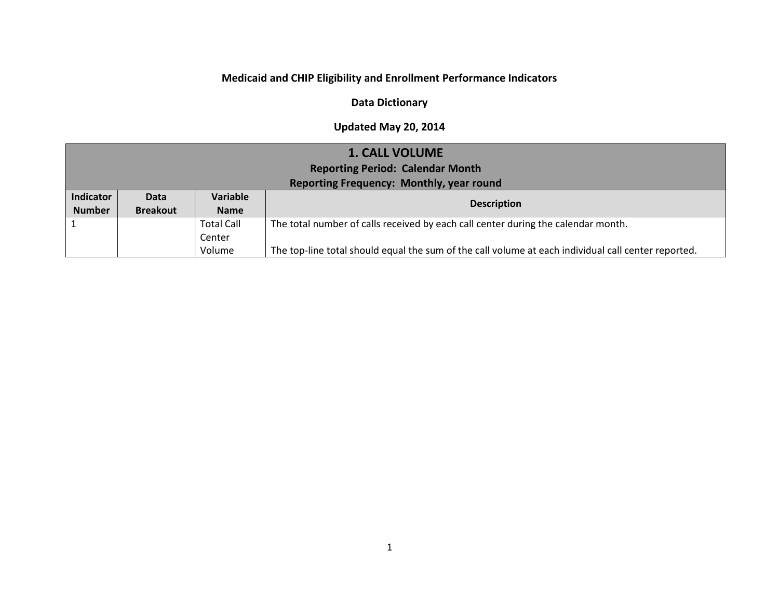## **Medicaid and CHIP Eligibility and Enrollment Performance Indicators**

### **Data Dictionary**

#### **Updated May 20, 2014**

| <b>1. CALL VOLUME</b> |                                         |                   |                                                                                   |  |
|-----------------------|-----------------------------------------|-------------------|-----------------------------------------------------------------------------------|--|
|                       | <b>Reporting Period: Calendar Month</b> |                   |                                                                                   |  |
|                       |                                         |                   | Reporting Frequency: Monthly, year round                                          |  |
| Indicator             | <b>Data</b>                             | Variable          |                                                                                   |  |
| <b>Number</b>         | <b>Breakout</b>                         | <b>Name</b>       | <b>Description</b>                                                                |  |
|                       |                                         |                   |                                                                                   |  |
|                       |                                         | <b>Total Call</b> | The total number of calls received by each call center during the calendar month. |  |
|                       |                                         | Center            |                                                                                   |  |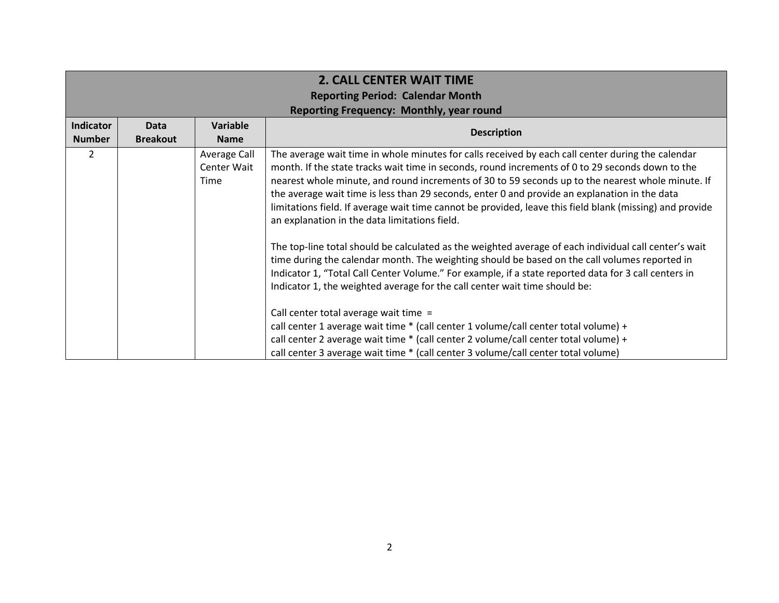|                  | <b>2. CALL CENTER WAIT TIME</b>         |                                     |                                                                                                                                                                                                                                                                                                                                                                                                                                                                                                                                                                                                                                                                                                                                                                                                                                                                                                                                                                          |  |  |
|------------------|-----------------------------------------|-------------------------------------|--------------------------------------------------------------------------------------------------------------------------------------------------------------------------------------------------------------------------------------------------------------------------------------------------------------------------------------------------------------------------------------------------------------------------------------------------------------------------------------------------------------------------------------------------------------------------------------------------------------------------------------------------------------------------------------------------------------------------------------------------------------------------------------------------------------------------------------------------------------------------------------------------------------------------------------------------------------------------|--|--|
|                  | <b>Reporting Period: Calendar Month</b> |                                     |                                                                                                                                                                                                                                                                                                                                                                                                                                                                                                                                                                                                                                                                                                                                                                                                                                                                                                                                                                          |  |  |
|                  |                                         |                                     | Reporting Frequency: Monthly, year round                                                                                                                                                                                                                                                                                                                                                                                                                                                                                                                                                                                                                                                                                                                                                                                                                                                                                                                                 |  |  |
| <b>Indicator</b> | <b>Data</b>                             | Variable                            | <b>Description</b>                                                                                                                                                                                                                                                                                                                                                                                                                                                                                                                                                                                                                                                                                                                                                                                                                                                                                                                                                       |  |  |
| <b>Number</b>    | <b>Breakout</b>                         | <b>Name</b>                         |                                                                                                                                                                                                                                                                                                                                                                                                                                                                                                                                                                                                                                                                                                                                                                                                                                                                                                                                                                          |  |  |
| 2                |                                         | Average Call<br>Center Wait<br>Time | The average wait time in whole minutes for calls received by each call center during the calendar<br>month. If the state tracks wait time in seconds, round increments of 0 to 29 seconds down to the<br>nearest whole minute, and round increments of 30 to 59 seconds up to the nearest whole minute. If<br>the average wait time is less than 29 seconds, enter 0 and provide an explanation in the data<br>limitations field. If average wait time cannot be provided, leave this field blank (missing) and provide<br>an explanation in the data limitations field.<br>The top-line total should be calculated as the weighted average of each individual call center's wait<br>time during the calendar month. The weighting should be based on the call volumes reported in<br>Indicator 1, "Total Call Center Volume." For example, if a state reported data for 3 call centers in<br>Indicator 1, the weighted average for the call center wait time should be: |  |  |
|                  |                                         |                                     | Call center total average wait time =<br>call center 1 average wait time * (call center 1 volume/call center total volume) +                                                                                                                                                                                                                                                                                                                                                                                                                                                                                                                                                                                                                                                                                                                                                                                                                                             |  |  |
|                  |                                         |                                     | call center 2 average wait time * (call center 2 volume/call center total volume) +                                                                                                                                                                                                                                                                                                                                                                                                                                                                                                                                                                                                                                                                                                                                                                                                                                                                                      |  |  |
|                  |                                         |                                     | call center 3 average wait time * (call center 3 volume/call center total volume)                                                                                                                                                                                                                                                                                                                                                                                                                                                                                                                                                                                                                                                                                                                                                                                                                                                                                        |  |  |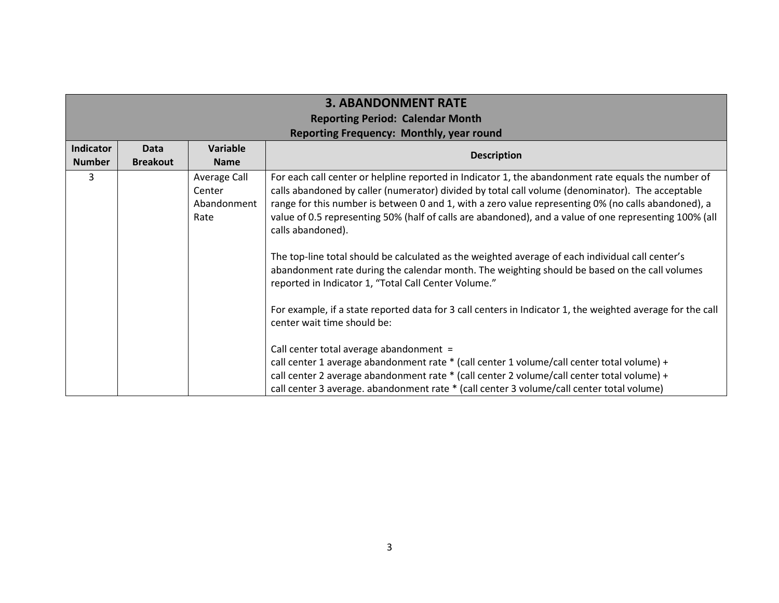|                                   | <b>3. ABANDONMENT RATE</b>                                                                 |                                               |                                                                                                                                                                                                                                                                                                                                                                                                                                               |  |
|-----------------------------------|--------------------------------------------------------------------------------------------|-----------------------------------------------|-----------------------------------------------------------------------------------------------------------------------------------------------------------------------------------------------------------------------------------------------------------------------------------------------------------------------------------------------------------------------------------------------------------------------------------------------|--|
|                                   | <b>Reporting Period: Calendar Month</b><br><b>Reporting Frequency: Monthly, year round</b> |                                               |                                                                                                                                                                                                                                                                                                                                                                                                                                               |  |
| <b>Indicator</b><br><b>Number</b> | Data<br><b>Breakout</b>                                                                    | <b>Variable</b><br><b>Name</b>                | <b>Description</b>                                                                                                                                                                                                                                                                                                                                                                                                                            |  |
| 3                                 |                                                                                            | Average Call<br>Center<br>Abandonment<br>Rate | For each call center or helpline reported in Indicator 1, the abandonment rate equals the number of<br>calls abandoned by caller (numerator) divided by total call volume (denominator). The acceptable<br>range for this number is between 0 and 1, with a zero value representing 0% (no calls abandoned), a<br>value of 0.5 representing 50% (half of calls are abandoned), and a value of one representing 100% (all<br>calls abandoned). |  |
|                                   |                                                                                            |                                               | The top-line total should be calculated as the weighted average of each individual call center's<br>abandonment rate during the calendar month. The weighting should be based on the call volumes<br>reported in Indicator 1, "Total Call Center Volume."                                                                                                                                                                                     |  |
|                                   |                                                                                            |                                               | For example, if a state reported data for 3 call centers in Indicator 1, the weighted average for the call<br>center wait time should be:                                                                                                                                                                                                                                                                                                     |  |
|                                   |                                                                                            |                                               | Call center total average abandonment =<br>call center 1 average abandonment rate * (call center 1 volume/call center total volume) +                                                                                                                                                                                                                                                                                                         |  |
|                                   |                                                                                            |                                               | call center 2 average abandonment rate * (call center 2 volume/call center total volume) +<br>call center 3 average. abandonment rate * (call center 3 volume/call center total volume)                                                                                                                                                                                                                                                       |  |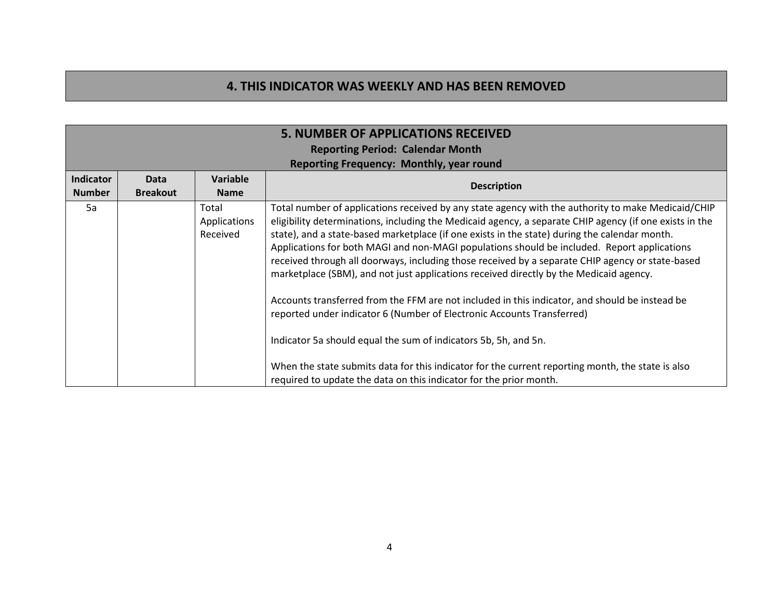## **4. THIS INDICATOR WAS WEEKLY AND HAS BEEN REMOVED**

|                            | <b>5. NUMBER OF APPLICATIONS RECEIVED</b><br><b>Reporting Period: Calendar Month</b><br>Reporting Frequency: Monthly, year round |                                   |                                                                                                                                                                                                                                                                                                                                                                                                                                                                                                                                                                                                                                                                                                                                                                                                                                                                                                                                                                                                                                       |  |
|----------------------------|----------------------------------------------------------------------------------------------------------------------------------|-----------------------------------|---------------------------------------------------------------------------------------------------------------------------------------------------------------------------------------------------------------------------------------------------------------------------------------------------------------------------------------------------------------------------------------------------------------------------------------------------------------------------------------------------------------------------------------------------------------------------------------------------------------------------------------------------------------------------------------------------------------------------------------------------------------------------------------------------------------------------------------------------------------------------------------------------------------------------------------------------------------------------------------------------------------------------------------|--|
| Indicator<br><b>Number</b> | <b>Data</b><br><b>Breakout</b>                                                                                                   | Variable<br><b>Name</b>           | <b>Description</b>                                                                                                                                                                                                                                                                                                                                                                                                                                                                                                                                                                                                                                                                                                                                                                                                                                                                                                                                                                                                                    |  |
| 5a                         |                                                                                                                                  | Total<br>Applications<br>Received | Total number of applications received by any state agency with the authority to make Medicaid/CHIP<br>eligibility determinations, including the Medicaid agency, a separate CHIP agency (if one exists in the<br>state), and a state-based marketplace (if one exists in the state) during the calendar month.<br>Applications for both MAGI and non-MAGI populations should be included. Report applications<br>received through all doorways, including those received by a separate CHIP agency or state-based<br>marketplace (SBM), and not just applications received directly by the Medicaid agency.<br>Accounts transferred from the FFM are not included in this indicator, and should be instead be<br>reported under indicator 6 (Number of Electronic Accounts Transferred)<br>Indicator 5a should equal the sum of indicators 5b, 5h, and 5n.<br>When the state submits data for this indicator for the current reporting month, the state is also<br>required to update the data on this indicator for the prior month. |  |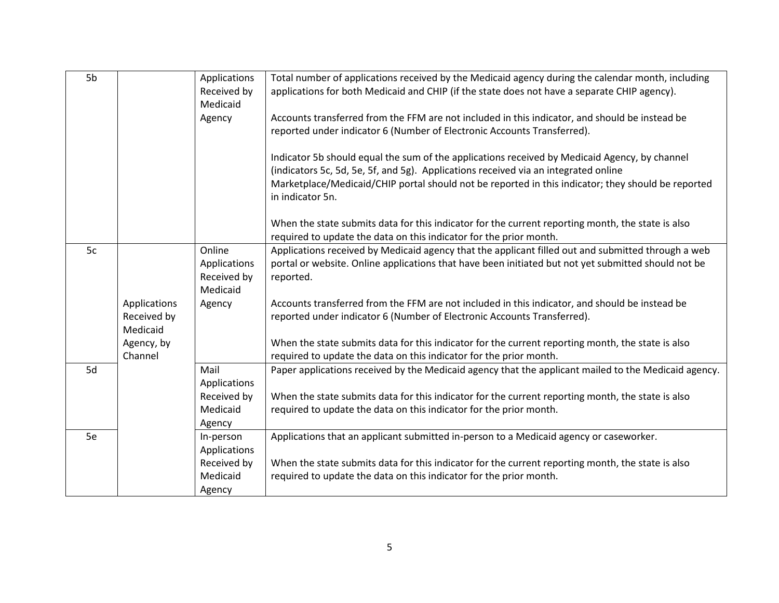| 5b |              | Applications | Total number of applications received by the Medicaid agency during the calendar month, including    |
|----|--------------|--------------|------------------------------------------------------------------------------------------------------|
|    |              | Received by  | applications for both Medicaid and CHIP (if the state does not have a separate CHIP agency).         |
|    |              | Medicaid     |                                                                                                      |
|    |              | Agency       | Accounts transferred from the FFM are not included in this indicator, and should be instead be       |
|    |              |              | reported under indicator 6 (Number of Electronic Accounts Transferred).                              |
|    |              |              |                                                                                                      |
|    |              |              | Indicator 5b should equal the sum of the applications received by Medicaid Agency, by channel        |
|    |              |              | (indicators 5c, 5d, 5e, 5f, and 5g). Applications received via an integrated online                  |
|    |              |              | Marketplace/Medicaid/CHIP portal should not be reported in this indicator; they should be reported   |
|    |              |              | in indicator 5n.                                                                                     |
|    |              |              |                                                                                                      |
|    |              |              | When the state submits data for this indicator for the current reporting month, the state is also    |
|    |              |              | required to update the data on this indicator for the prior month.                                   |
| 5c |              | Online       | Applications received by Medicaid agency that the applicant filled out and submitted through a web   |
|    |              | Applications | portal or website. Online applications that have been initiated but not yet submitted should not be  |
|    |              | Received by  | reported.                                                                                            |
|    |              | Medicaid     |                                                                                                      |
|    | Applications | Agency       | Accounts transferred from the FFM are not included in this indicator, and should be instead be       |
|    | Received by  |              | reported under indicator 6 (Number of Electronic Accounts Transferred).                              |
|    | Medicaid     |              |                                                                                                      |
|    | Agency, by   |              | When the state submits data for this indicator for the current reporting month, the state is also    |
|    | Channel      |              | required to update the data on this indicator for the prior month.                                   |
| 5d |              | Mail         | Paper applications received by the Medicaid agency that the applicant mailed to the Medicaid agency. |
|    |              | Applications |                                                                                                      |
|    |              | Received by  | When the state submits data for this indicator for the current reporting month, the state is also    |
|    |              | Medicaid     | required to update the data on this indicator for the prior month.                                   |
|    |              | Agency       |                                                                                                      |
| 5e |              | In-person    | Applications that an applicant submitted in-person to a Medicaid agency or caseworker.               |
|    |              | Applications |                                                                                                      |
|    |              | Received by  | When the state submits data for this indicator for the current reporting month, the state is also    |
|    |              | Medicaid     | required to update the data on this indicator for the prior month.                                   |
|    |              | Agency       |                                                                                                      |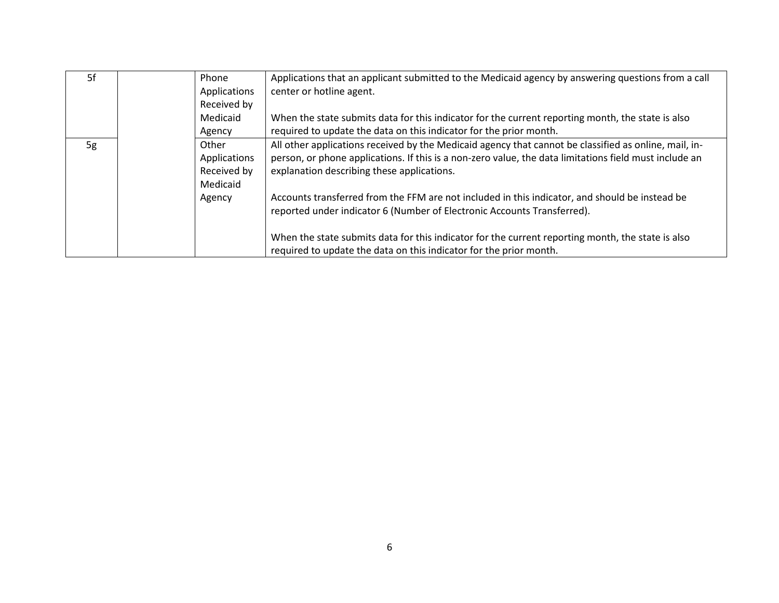| 5f | Phone<br>Applications | Applications that an applicant submitted to the Medicaid agency by answering questions from a call<br>center or hotline agent. |
|----|-----------------------|--------------------------------------------------------------------------------------------------------------------------------|
|    | Received by           |                                                                                                                                |
|    | Medicaid              | When the state submits data for this indicator for the current reporting month, the state is also                              |
|    | Agency                | required to update the data on this indicator for the prior month.                                                             |
| 5g | Other                 | All other applications received by the Medicaid agency that cannot be classified as online, mail, in-                          |
|    | Applications          | person, or phone applications. If this is a non-zero value, the data limitations field must include an                         |
|    | Received by           | explanation describing these applications.                                                                                     |
|    | Medicaid              |                                                                                                                                |
|    | Agency                | Accounts transferred from the FFM are not included in this indicator, and should be instead be                                 |
|    |                       | reported under indicator 6 (Number of Electronic Accounts Transferred).                                                        |
|    |                       |                                                                                                                                |
|    |                       | When the state submits data for this indicator for the current reporting month, the state is also                              |
|    |                       | required to update the data on this indicator for the prior month.                                                             |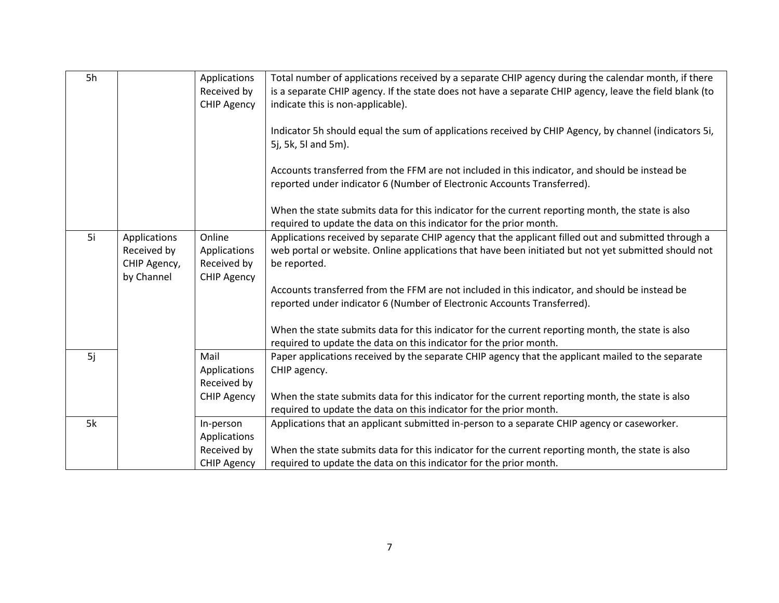| 5h |                             | Applications<br>Received by<br><b>CHIP Agency</b> | Total number of applications received by a separate CHIP agency during the calendar month, if there<br>is a separate CHIP agency. If the state does not have a separate CHIP agency, leave the field blank (to<br>indicate this is non-applicable). |
|----|-----------------------------|---------------------------------------------------|-----------------------------------------------------------------------------------------------------------------------------------------------------------------------------------------------------------------------------------------------------|
|    |                             |                                                   |                                                                                                                                                                                                                                                     |
|    |                             |                                                   | Indicator 5h should equal the sum of applications received by CHIP Agency, by channel (indicators 5i,<br>5j, 5k, 5l and 5m).                                                                                                                        |
|    |                             |                                                   | Accounts transferred from the FFM are not included in this indicator, and should be instead be<br>reported under indicator 6 (Number of Electronic Accounts Transferred).                                                                           |
|    |                             |                                                   | When the state submits data for this indicator for the current reporting month, the state is also<br>required to update the data on this indicator for the prior month.                                                                             |
| 5i | Applications<br>Received by | Online<br>Applications                            | Applications received by separate CHIP agency that the applicant filled out and submitted through a<br>web portal or website. Online applications that have been initiated but not yet submitted should not                                         |
|    | CHIP Agency,                | Received by                                       | be reported.                                                                                                                                                                                                                                        |
|    | by Channel                  | <b>CHIP Agency</b>                                |                                                                                                                                                                                                                                                     |
|    |                             |                                                   | Accounts transferred from the FFM are not included in this indicator, and should be instead be<br>reported under indicator 6 (Number of Electronic Accounts Transferred).                                                                           |
|    |                             |                                                   |                                                                                                                                                                                                                                                     |
|    |                             |                                                   | When the state submits data for this indicator for the current reporting month, the state is also<br>required to update the data on this indicator for the prior month.                                                                             |
| 5j |                             | Mail                                              | Paper applications received by the separate CHIP agency that the applicant mailed to the separate                                                                                                                                                   |
|    |                             | Applications<br>Received by                       | CHIP agency.                                                                                                                                                                                                                                        |
|    |                             | <b>CHIP Agency</b>                                | When the state submits data for this indicator for the current reporting month, the state is also                                                                                                                                                   |
|    |                             |                                                   | required to update the data on this indicator for the prior month.                                                                                                                                                                                  |
| 5k |                             | In-person                                         | Applications that an applicant submitted in-person to a separate CHIP agency or caseworker.                                                                                                                                                         |
|    |                             | Applications<br>Received by                       | When the state submits data for this indicator for the current reporting month, the state is also                                                                                                                                                   |
|    |                             | <b>CHIP Agency</b>                                | required to update the data on this indicator for the prior month.                                                                                                                                                                                  |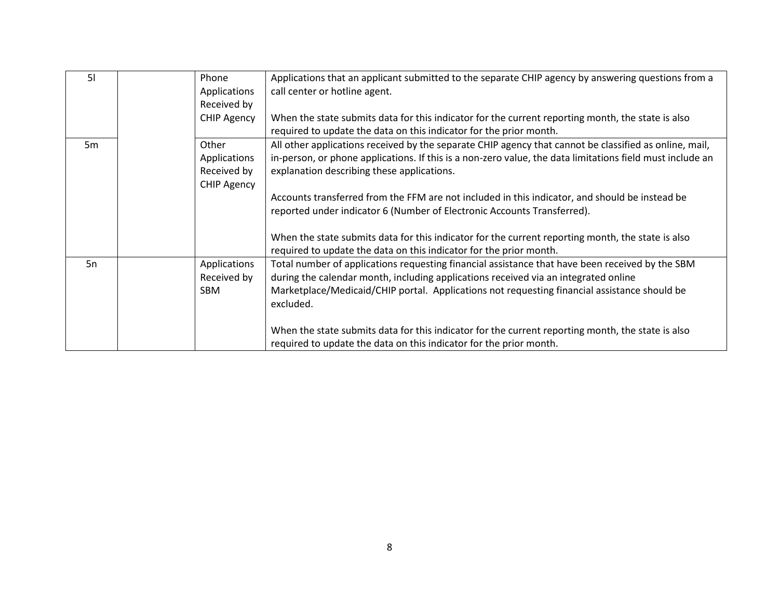| 51             | Phone              | Applications that an applicant submitted to the separate CHIP agency by answering questions from a        |
|----------------|--------------------|-----------------------------------------------------------------------------------------------------------|
|                | Applications       | call center or hotline agent.                                                                             |
|                | Received by        |                                                                                                           |
|                | <b>CHIP Agency</b> | When the state submits data for this indicator for the current reporting month, the state is also         |
|                |                    | required to update the data on this indicator for the prior month.                                        |
| 5 <sub>m</sub> | Other              | All other applications received by the separate CHIP agency that cannot be classified as online, mail,    |
|                | Applications       | in-person, or phone applications. If this is a non-zero value, the data limitations field must include an |
|                | Received by        | explanation describing these applications.                                                                |
|                | <b>CHIP Agency</b> |                                                                                                           |
|                |                    | Accounts transferred from the FFM are not included in this indicator, and should be instead be            |
|                |                    | reported under indicator 6 (Number of Electronic Accounts Transferred).                                   |
|                |                    |                                                                                                           |
|                |                    | When the state submits data for this indicator for the current reporting month, the state is also         |
|                |                    | required to update the data on this indicator for the prior month.                                        |
| 5n             | Applications       | Total number of applications requesting financial assistance that have been received by the SBM           |
|                | Received by        | during the calendar month, including applications received via an integrated online                       |
|                | SBM                | Marketplace/Medicaid/CHIP portal. Applications not requesting financial assistance should be              |
|                |                    | excluded.                                                                                                 |
|                |                    |                                                                                                           |
|                |                    | When the state submits data for this indicator for the current reporting month, the state is also         |
|                |                    | required to update the data on this indicator for the prior month.                                        |
|                |                    |                                                                                                           |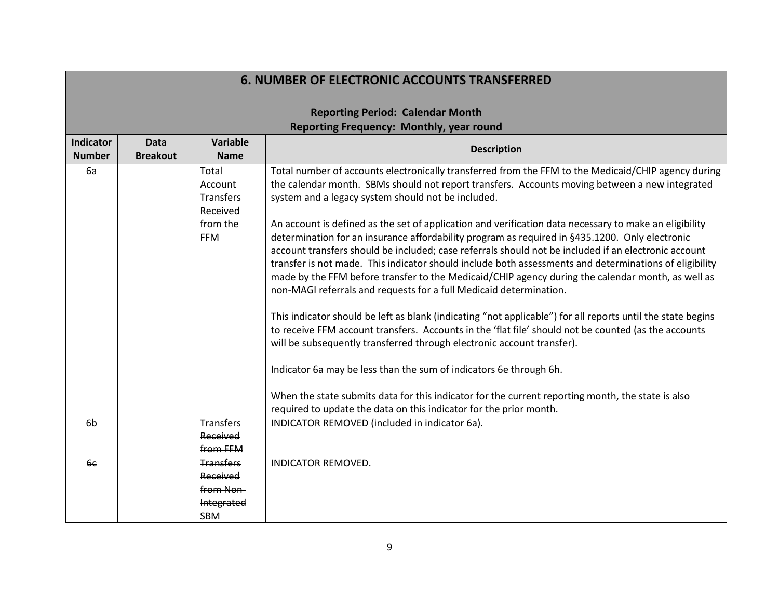|                                   |                                |                                                                       | <b>Reporting Period: Calendar Month</b><br>Reporting Frequency: Monthly, year round                                                                                                                                                                                                                                                                                                                                                                                                                                                                                                                                                                                                                                                                                                                                                                                                                                                                                                                                                                                                                                                                                                                                                                                                                                                                                                                                    |
|-----------------------------------|--------------------------------|-----------------------------------------------------------------------|------------------------------------------------------------------------------------------------------------------------------------------------------------------------------------------------------------------------------------------------------------------------------------------------------------------------------------------------------------------------------------------------------------------------------------------------------------------------------------------------------------------------------------------------------------------------------------------------------------------------------------------------------------------------------------------------------------------------------------------------------------------------------------------------------------------------------------------------------------------------------------------------------------------------------------------------------------------------------------------------------------------------------------------------------------------------------------------------------------------------------------------------------------------------------------------------------------------------------------------------------------------------------------------------------------------------------------------------------------------------------------------------------------------------|
| <b>Indicator</b><br><b>Number</b> | <b>Data</b><br><b>Breakout</b> | Variable<br><b>Name</b>                                               | <b>Description</b>                                                                                                                                                                                                                                                                                                                                                                                                                                                                                                                                                                                                                                                                                                                                                                                                                                                                                                                                                                                                                                                                                                                                                                                                                                                                                                                                                                                                     |
| 6a                                |                                | Total<br>Account<br>Transfers<br>Received<br>from the<br><b>FFM</b>   | Total number of accounts electronically transferred from the FFM to the Medicaid/CHIP agency during<br>the calendar month. SBMs should not report transfers. Accounts moving between a new integrated<br>system and a legacy system should not be included.<br>An account is defined as the set of application and verification data necessary to make an eligibility<br>determination for an insurance affordability program as required in §435.1200. Only electronic<br>account transfers should be included; case referrals should not be included if an electronic account<br>transfer is not made. This indicator should include both assessments and determinations of eligibility<br>made by the FFM before transfer to the Medicaid/CHIP agency during the calendar month, as well as<br>non-MAGI referrals and requests for a full Medicaid determination.<br>This indicator should be left as blank (indicating "not applicable") for all reports until the state begins<br>to receive FFM account transfers. Accounts in the 'flat file' should not be counted (as the accounts<br>will be subsequently transferred through electronic account transfer).<br>Indicator 6a may be less than the sum of indicators 6e through 6h.<br>When the state submits data for this indicator for the current reporting month, the state is also<br>required to update the data on this indicator for the prior month. |
| 6 <sub>b</sub>                    |                                | <b>Transfers</b><br>Received<br>from FFM                              | INDICATOR REMOVED (included in indicator 6a).                                                                                                                                                                                                                                                                                                                                                                                                                                                                                                                                                                                                                                                                                                                                                                                                                                                                                                                                                                                                                                                                                                                                                                                                                                                                                                                                                                          |
| 6 <sub>6</sub>                    |                                | <b>Transfers</b><br>Received<br>from Non-<br>Integrated<br><b>SBM</b> | <b>INDICATOR REMOVED.</b>                                                                                                                                                                                                                                                                                                                                                                                                                                                                                                                                                                                                                                                                                                                                                                                                                                                                                                                                                                                                                                                                                                                                                                                                                                                                                                                                                                                              |

# **6. NUMBER OF ELECTRONIC ACCOUNTS TRANSFERRED**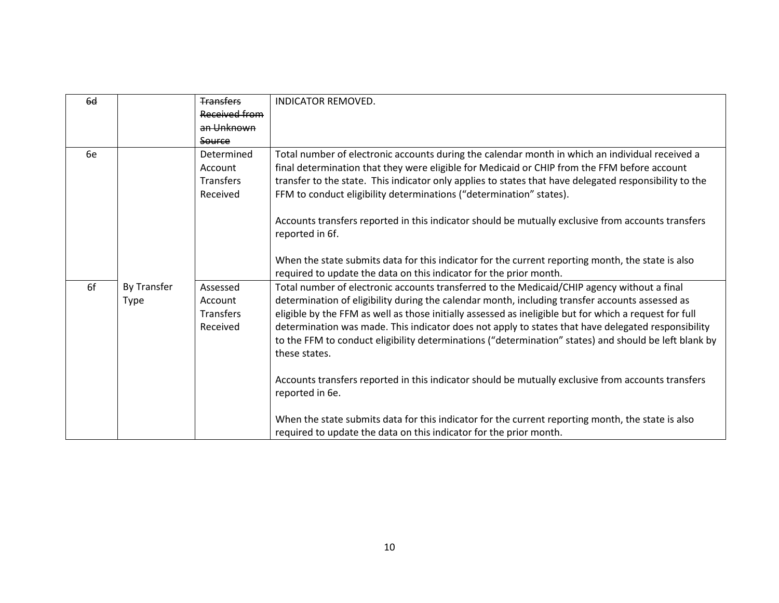| 6 <sub>d</sub> |             | <b>Transfers</b> | <b>INDICATOR REMOVED.</b>                                                                              |
|----------------|-------------|------------------|--------------------------------------------------------------------------------------------------------|
|                |             | Received from    |                                                                                                        |
|                |             | an Unknown       |                                                                                                        |
|                |             | Source           |                                                                                                        |
| 6e             |             | Determined       | Total number of electronic accounts during the calendar month in which an individual received a        |
|                |             | Account          | final determination that they were eligible for Medicaid or CHIP from the FFM before account           |
|                |             | Transfers        | transfer to the state. This indicator only applies to states that have delegated responsibility to the |
|                |             | Received         | FFM to conduct eligibility determinations ("determination" states).                                    |
|                |             |                  |                                                                                                        |
|                |             |                  | Accounts transfers reported in this indicator should be mutually exclusive from accounts transfers     |
|                |             |                  | reported in 6f.                                                                                        |
|                |             |                  |                                                                                                        |
|                |             |                  | When the state submits data for this indicator for the current reporting month, the state is also      |
|                |             |                  | required to update the data on this indicator for the prior month.                                     |
| 6f             | By Transfer | Assessed         | Total number of electronic accounts transferred to the Medicaid/CHIP agency without a final            |
|                | <b>Type</b> | Account          | determination of eligibility during the calendar month, including transfer accounts assessed as        |
|                |             | Transfers        | eligible by the FFM as well as those initially assessed as ineligible but for which a request for full |
|                |             | Received         | determination was made. This indicator does not apply to states that have delegated responsibility     |
|                |             |                  | to the FFM to conduct eligibility determinations ("determination" states) and should be left blank by  |
|                |             |                  | these states.                                                                                          |
|                |             |                  |                                                                                                        |
|                |             |                  | Accounts transfers reported in this indicator should be mutually exclusive from accounts transfers     |
|                |             |                  | reported in 6e.                                                                                        |
|                |             |                  |                                                                                                        |
|                |             |                  | When the state submits data for this indicator for the current reporting month, the state is also      |
|                |             |                  | required to update the data on this indicator for the prior month.                                     |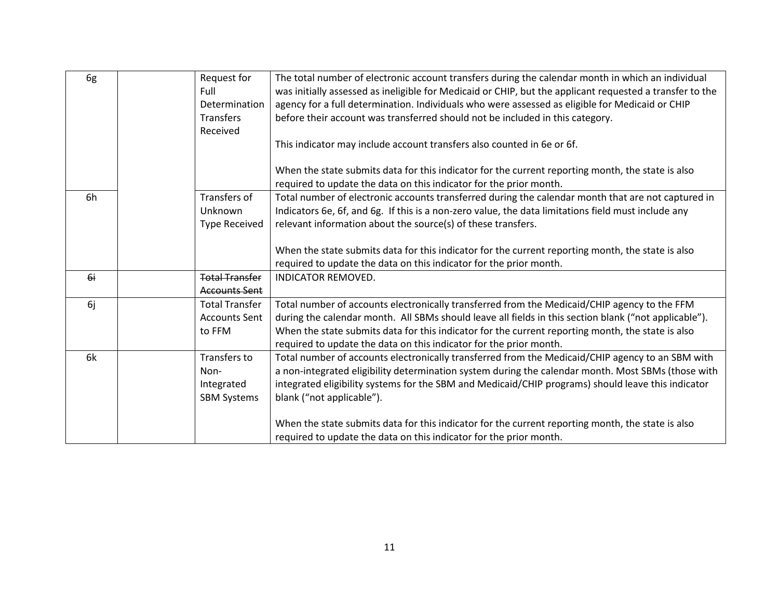| 6g | Request for<br>Full<br>Determination<br>Transfers<br>Received | The total number of electronic account transfers during the calendar month in which an individual<br>was initially assessed as ineligible for Medicaid or CHIP, but the applicant requested a transfer to the<br>agency for a full determination. Individuals who were assessed as eligible for Medicaid or CHIP<br>before their account was transferred should not be included in this category. |
|----|---------------------------------------------------------------|---------------------------------------------------------------------------------------------------------------------------------------------------------------------------------------------------------------------------------------------------------------------------------------------------------------------------------------------------------------------------------------------------|
|    |                                                               | This indicator may include account transfers also counted in 6e or 6f.<br>When the state submits data for this indicator for the current reporting month, the state is also<br>required to update the data on this indicator for the prior month.                                                                                                                                                 |
| 6h | Transfers of<br>Unknown<br><b>Type Received</b>               | Total number of electronic accounts transferred during the calendar month that are not captured in<br>Indicators 6e, 6f, and 6g. If this is a non-zero value, the data limitations field must include any<br>relevant information about the source(s) of these transfers.                                                                                                                         |
|    |                                                               | When the state submits data for this indicator for the current reporting month, the state is also<br>required to update the data on this indicator for the prior month.                                                                                                                                                                                                                           |
| 6i | <b>Total Transfer</b><br><b>Accounts Sent</b>                 | <b>INDICATOR REMOVED.</b>                                                                                                                                                                                                                                                                                                                                                                         |
| 6j | <b>Total Transfer</b><br><b>Accounts Sent</b><br>to FFM       | Total number of accounts electronically transferred from the Medicaid/CHIP agency to the FFM<br>during the calendar month. All SBMs should leave all fields in this section blank ("not applicable").<br>When the state submits data for this indicator for the current reporting month, the state is also<br>required to update the data on this indicator for the prior month.                  |
| 6k | Transfers to<br>Non-<br>Integrated<br><b>SBM Systems</b>      | Total number of accounts electronically transferred from the Medicaid/CHIP agency to an SBM with<br>a non-integrated eligibility determination system during the calendar month. Most SBMs (those with<br>integrated eligibility systems for the SBM and Medicaid/CHIP programs) should leave this indicator<br>blank ("not applicable").                                                         |
|    |                                                               | When the state submits data for this indicator for the current reporting month, the state is also<br>required to update the data on this indicator for the prior month.                                                                                                                                                                                                                           |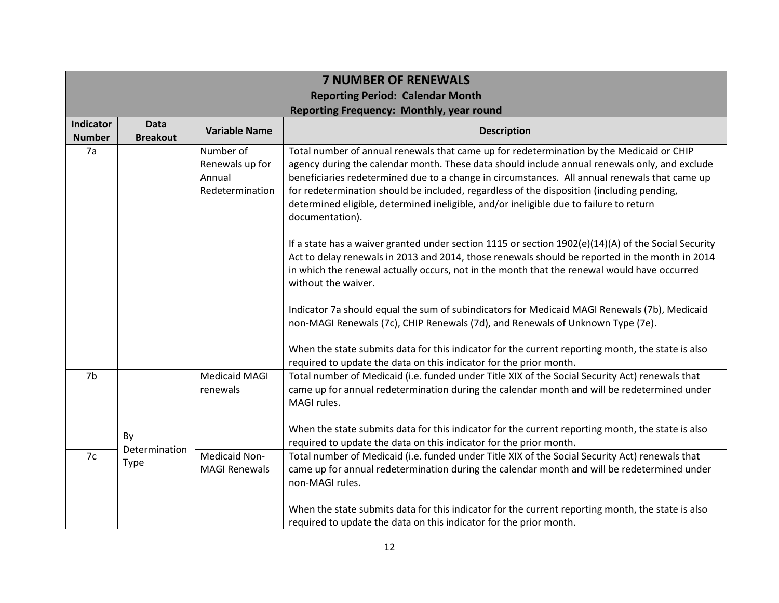|                            | <b>7 NUMBER OF RENEWALS</b>                                                                |                                                           |                                                                                                                                                                                                                                                                                                                                                                                                                                                                                                      |  |  |
|----------------------------|--------------------------------------------------------------------------------------------|-----------------------------------------------------------|------------------------------------------------------------------------------------------------------------------------------------------------------------------------------------------------------------------------------------------------------------------------------------------------------------------------------------------------------------------------------------------------------------------------------------------------------------------------------------------------------|--|--|
|                            | <b>Reporting Period: Calendar Month</b><br><b>Reporting Frequency: Monthly, year round</b> |                                                           |                                                                                                                                                                                                                                                                                                                                                                                                                                                                                                      |  |  |
| Indicator<br><b>Number</b> | <b>Data</b><br><b>Breakout</b>                                                             | <b>Variable Name</b>                                      | <b>Description</b>                                                                                                                                                                                                                                                                                                                                                                                                                                                                                   |  |  |
| 7a                         |                                                                                            | Number of<br>Renewals up for<br>Annual<br>Redetermination | Total number of annual renewals that came up for redetermination by the Medicaid or CHIP<br>agency during the calendar month. These data should include annual renewals only, and exclude<br>beneficiaries redetermined due to a change in circumstances. All annual renewals that came up<br>for redetermination should be included, regardless of the disposition (including pending,<br>determined eligible, determined ineligible, and/or ineligible due to failure to return<br>documentation). |  |  |
|                            |                                                                                            |                                                           | If a state has a waiver granted under section 1115 or section $1902(e)(14)(A)$ of the Social Security<br>Act to delay renewals in 2013 and 2014, those renewals should be reported in the month in 2014<br>in which the renewal actually occurs, not in the month that the renewal would have occurred<br>without the waiver.                                                                                                                                                                        |  |  |
|                            |                                                                                            |                                                           | Indicator 7a should equal the sum of subindicators for Medicaid MAGI Renewals (7b), Medicaid<br>non-MAGI Renewals (7c), CHIP Renewals (7d), and Renewals of Unknown Type (7e).                                                                                                                                                                                                                                                                                                                       |  |  |
|                            |                                                                                            |                                                           | When the state submits data for this indicator for the current reporting month, the state is also<br>required to update the data on this indicator for the prior month.                                                                                                                                                                                                                                                                                                                              |  |  |
| 7 <sub>b</sub>             |                                                                                            | <b>Medicaid MAGI</b><br>renewals                          | Total number of Medicaid (i.e. funded under Title XIX of the Social Security Act) renewals that<br>came up for annual redetermination during the calendar month and will be redetermined under<br>MAGI rules.                                                                                                                                                                                                                                                                                        |  |  |
|                            | By                                                                                         |                                                           | When the state submits data for this indicator for the current reporting month, the state is also<br>required to update the data on this indicator for the prior month.                                                                                                                                                                                                                                                                                                                              |  |  |
| 7c                         | Determination<br><b>Type</b>                                                               | Medicaid Non-<br><b>MAGI Renewals</b>                     | Total number of Medicaid (i.e. funded under Title XIX of the Social Security Act) renewals that<br>came up for annual redetermination during the calendar month and will be redetermined under<br>non-MAGI rules.                                                                                                                                                                                                                                                                                    |  |  |
|                            |                                                                                            |                                                           | When the state submits data for this indicator for the current reporting month, the state is also<br>required to update the data on this indicator for the prior month.                                                                                                                                                                                                                                                                                                                              |  |  |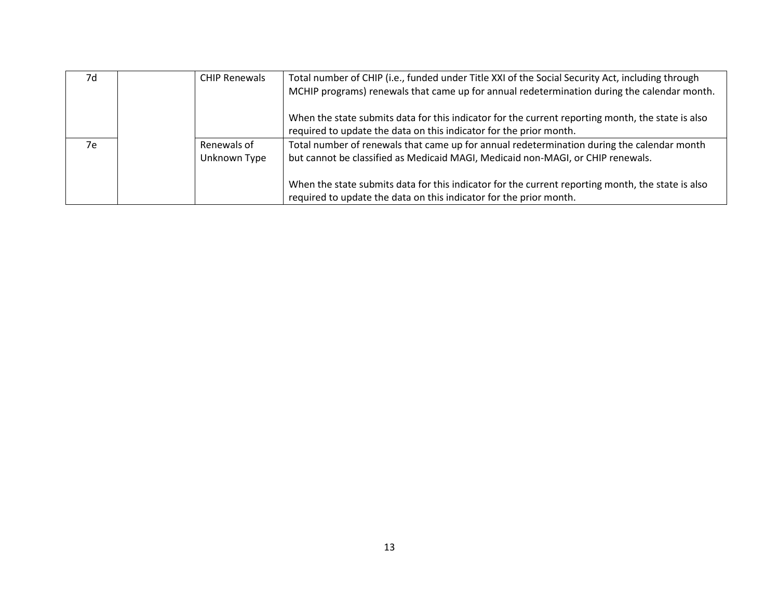| 7d | <b>CHIP Renewals</b> | Total number of CHIP (i.e., funded under Title XXI of the Social Security Act, including through<br>MCHIP programs) renewals that came up for annual redetermination during the calendar month. |
|----|----------------------|-------------------------------------------------------------------------------------------------------------------------------------------------------------------------------------------------|
|    |                      | When the state submits data for this indicator for the current reporting month, the state is also<br>required to update the data on this indicator for the prior month.                         |
| 7e | Renewals of          | Total number of renewals that came up for annual redetermination during the calendar month                                                                                                      |
|    | Unknown Type         | but cannot be classified as Medicaid MAGI, Medicaid non-MAGI, or CHIP renewals.                                                                                                                 |
|    |                      | When the state submits data for this indicator for the current reporting month, the state is also<br>required to update the data on this indicator for the prior month.                         |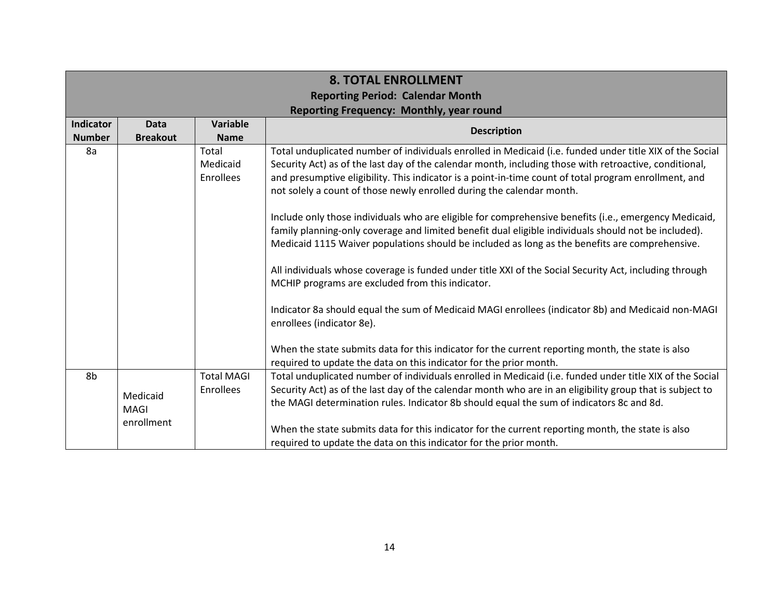|                  | <b>8. TOTAL ENROLLMENT</b><br><b>Reporting Period: Calendar Month</b> |                   |                                                                                                                                                                                |  |  |  |
|------------------|-----------------------------------------------------------------------|-------------------|--------------------------------------------------------------------------------------------------------------------------------------------------------------------------------|--|--|--|
|                  | <b>Reporting Frequency: Monthly, year round</b>                       |                   |                                                                                                                                                                                |  |  |  |
| <b>Indicator</b> | <b>Data</b>                                                           | <b>Variable</b>   | <b>Description</b>                                                                                                                                                             |  |  |  |
| <b>Number</b>    | <b>Breakout</b>                                                       | <b>Name</b>       |                                                                                                                                                                                |  |  |  |
| 8a               |                                                                       | Total             | Total unduplicated number of individuals enrolled in Medicaid (i.e. funded under title XIX of the Social                                                                       |  |  |  |
|                  |                                                                       | Medicaid          | Security Act) as of the last day of the calendar month, including those with retroactive, conditional,                                                                         |  |  |  |
|                  |                                                                       | Enrollees         | and presumptive eligibility. This indicator is a point-in-time count of total program enrollment, and<br>not solely a count of those newly enrolled during the calendar month. |  |  |  |
|                  |                                                                       |                   | Include only those individuals who are eligible for comprehensive benefits (i.e., emergency Medicaid,                                                                          |  |  |  |
|                  |                                                                       |                   | family planning-only coverage and limited benefit dual eligible individuals should not be included).                                                                           |  |  |  |
|                  |                                                                       |                   | Medicaid 1115 Waiver populations should be included as long as the benefits are comprehensive.                                                                                 |  |  |  |
|                  |                                                                       |                   | All individuals whose coverage is funded under title XXI of the Social Security Act, including through                                                                         |  |  |  |
|                  |                                                                       |                   | MCHIP programs are excluded from this indicator.                                                                                                                               |  |  |  |
|                  |                                                                       |                   | Indicator 8a should equal the sum of Medicaid MAGI enrollees (indicator 8b) and Medicaid non-MAGI<br>enrollees (indicator 8e).                                                 |  |  |  |
|                  |                                                                       |                   | When the state submits data for this indicator for the current reporting month, the state is also                                                                              |  |  |  |
|                  |                                                                       |                   | required to update the data on this indicator for the prior month.                                                                                                             |  |  |  |
| 8b               |                                                                       | <b>Total MAGI</b> | Total unduplicated number of individuals enrolled in Medicaid (i.e. funded under title XIX of the Social                                                                       |  |  |  |
|                  |                                                                       | Enrollees         | Security Act) as of the last day of the calendar month who are in an eligibility group that is subject to                                                                      |  |  |  |
|                  | Medicaid<br><b>MAGI</b>                                               |                   | the MAGI determination rules. Indicator 8b should equal the sum of indicators 8c and 8d.                                                                                       |  |  |  |
|                  | enrollment                                                            |                   |                                                                                                                                                                                |  |  |  |
|                  |                                                                       |                   | When the state submits data for this indicator for the current reporting month, the state is also                                                                              |  |  |  |
|                  |                                                                       |                   | required to update the data on this indicator for the prior month.                                                                                                             |  |  |  |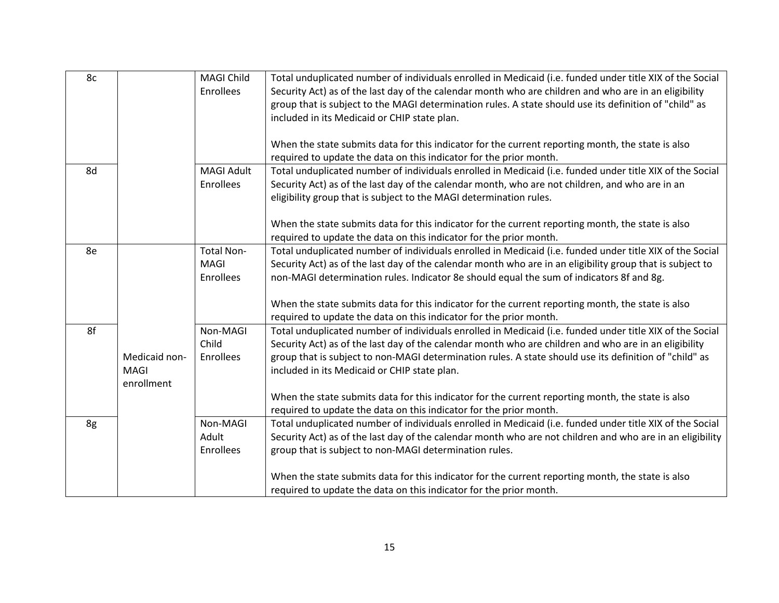| 8c |               | <b>MAGI Child</b> | Total unduplicated number of individuals enrolled in Medicaid (i.e. funded under title XIX of the Social  |
|----|---------------|-------------------|-----------------------------------------------------------------------------------------------------------|
|    |               | Enrollees         | Security Act) as of the last day of the calendar month who are children and who are in an eligibility     |
|    |               |                   | group that is subject to the MAGI determination rules. A state should use its definition of "child" as    |
|    |               |                   | included in its Medicaid or CHIP state plan.                                                              |
|    |               |                   |                                                                                                           |
|    |               |                   | When the state submits data for this indicator for the current reporting month, the state is also         |
|    |               |                   | required to update the data on this indicator for the prior month.                                        |
| 8d |               | <b>MAGI Adult</b> | Total unduplicated number of individuals enrolled in Medicaid (i.e. funded under title XIX of the Social  |
|    |               | Enrollees         | Security Act) as of the last day of the calendar month, who are not children, and who are in an           |
|    |               |                   | eligibility group that is subject to the MAGI determination rules.                                        |
|    |               |                   |                                                                                                           |
|    |               |                   | When the state submits data for this indicator for the current reporting month, the state is also         |
|    |               |                   | required to update the data on this indicator for the prior month.                                        |
| 8e |               | Total Non-        | Total unduplicated number of individuals enrolled in Medicaid (i.e. funded under title XIX of the Social  |
|    |               | MAGI              | Security Act) as of the last day of the calendar month who are in an eligibility group that is subject to |
|    |               | Enrollees         | non-MAGI determination rules. Indicator 8e should equal the sum of indicators 8f and 8g.                  |
|    |               |                   |                                                                                                           |
|    |               |                   | When the state submits data for this indicator for the current reporting month, the state is also         |
|    |               |                   | required to update the data on this indicator for the prior month.                                        |
| 8f |               | Non-MAGI          | Total unduplicated number of individuals enrolled in Medicaid (i.e. funded under title XIX of the Social  |
|    |               | Child             | Security Act) as of the last day of the calendar month who are children and who are in an eligibility     |
|    | Medicaid non- | Enrollees         | group that is subject to non-MAGI determination rules. A state should use its definition of "child" as    |
|    | <b>MAGI</b>   |                   | included in its Medicaid or CHIP state plan.                                                              |
|    | enrollment    |                   |                                                                                                           |
|    |               |                   | When the state submits data for this indicator for the current reporting month, the state is also         |
|    |               |                   | required to update the data on this indicator for the prior month.                                        |
| 8g |               | Non-MAGI          | Total unduplicated number of individuals enrolled in Medicaid (i.e. funded under title XIX of the Social  |
|    |               | Adult             | Security Act) as of the last day of the calendar month who are not children and who are in an eligibility |
|    |               | Enrollees         | group that is subject to non-MAGI determination rules.                                                    |
|    |               |                   |                                                                                                           |
|    |               |                   | When the state submits data for this indicator for the current reporting month, the state is also         |
|    |               |                   | required to update the data on this indicator for the prior month.                                        |
|    |               |                   |                                                                                                           |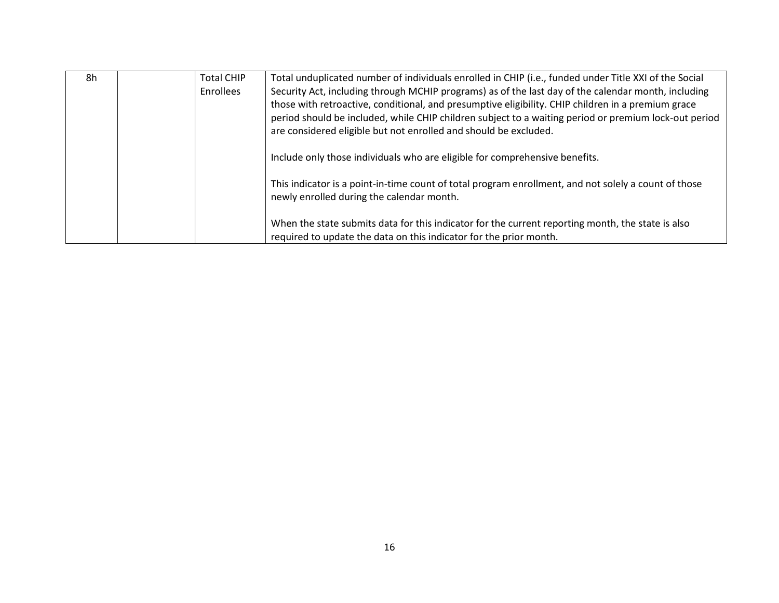| 8h | <b>Total CHIP</b> | Total unduplicated number of individuals enrolled in CHIP (i.e., funded under Title XXI of the Social                                                                                                                                                                           |
|----|-------------------|---------------------------------------------------------------------------------------------------------------------------------------------------------------------------------------------------------------------------------------------------------------------------------|
|    | <b>Enrollees</b>  | Security Act, including through MCHIP programs) as of the last day of the calendar month, including                                                                                                                                                                             |
|    |                   | those with retroactive, conditional, and presumptive eligibility. CHIP children in a premium grace<br>period should be included, while CHIP children subject to a waiting period or premium lock-out period<br>are considered eligible but not enrolled and should be excluded. |
|    |                   | Include only those individuals who are eligible for comprehensive benefits.                                                                                                                                                                                                     |
|    |                   | This indicator is a point-in-time count of total program enrollment, and not solely a count of those<br>newly enrolled during the calendar month.                                                                                                                               |
|    |                   | When the state submits data for this indicator for the current reporting month, the state is also<br>required to update the data on this indicator for the prior month.                                                                                                         |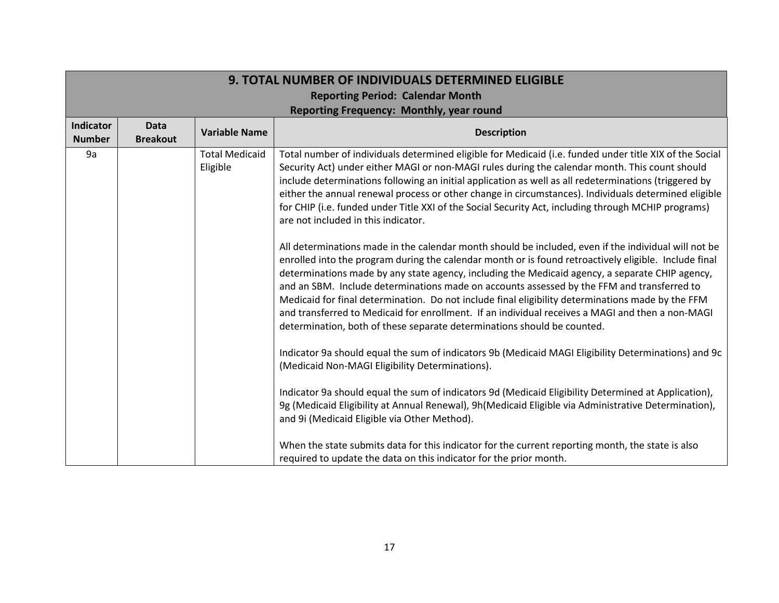| <b>9. TOTAL NUMBER OF INDIVIDUALS DETERMINED ELIGIBLE</b> |                                         |                                   |                                                                                                                                                                                                                                                                                                                                                                                                                                                                                                                                                                                                                                                                                                                                                                                                                                                                                                                                                                                                                                                                                                                                                                                                                                                                                                                                                                                                                                                                                                                                                                                                                                                                                                                                                                                                                                                                                       |  |
|-----------------------------------------------------------|-----------------------------------------|-----------------------------------|---------------------------------------------------------------------------------------------------------------------------------------------------------------------------------------------------------------------------------------------------------------------------------------------------------------------------------------------------------------------------------------------------------------------------------------------------------------------------------------------------------------------------------------------------------------------------------------------------------------------------------------------------------------------------------------------------------------------------------------------------------------------------------------------------------------------------------------------------------------------------------------------------------------------------------------------------------------------------------------------------------------------------------------------------------------------------------------------------------------------------------------------------------------------------------------------------------------------------------------------------------------------------------------------------------------------------------------------------------------------------------------------------------------------------------------------------------------------------------------------------------------------------------------------------------------------------------------------------------------------------------------------------------------------------------------------------------------------------------------------------------------------------------------------------------------------------------------------------------------------------------------|--|
|                                                           | <b>Reporting Period: Calendar Month</b> |                                   |                                                                                                                                                                                                                                                                                                                                                                                                                                                                                                                                                                                                                                                                                                                                                                                                                                                                                                                                                                                                                                                                                                                                                                                                                                                                                                                                                                                                                                                                                                                                                                                                                                                                                                                                                                                                                                                                                       |  |
|                                                           |                                         |                                   | Reporting Frequency: Monthly, year round                                                                                                                                                                                                                                                                                                                                                                                                                                                                                                                                                                                                                                                                                                                                                                                                                                                                                                                                                                                                                                                                                                                                                                                                                                                                                                                                                                                                                                                                                                                                                                                                                                                                                                                                                                                                                                              |  |
| <b>Indicator</b><br><b>Number</b>                         | <b>Data</b><br><b>Breakout</b>          | <b>Variable Name</b>              | <b>Description</b>                                                                                                                                                                                                                                                                                                                                                                                                                                                                                                                                                                                                                                                                                                                                                                                                                                                                                                                                                                                                                                                                                                                                                                                                                                                                                                                                                                                                                                                                                                                                                                                                                                                                                                                                                                                                                                                                    |  |
| 9a                                                        |                                         | <b>Total Medicaid</b><br>Eligible | Total number of individuals determined eligible for Medicaid (i.e. funded under title XIX of the Social<br>Security Act) under either MAGI or non-MAGI rules during the calendar month. This count should<br>include determinations following an initial application as well as all redeterminations (triggered by<br>either the annual renewal process or other change in circumstances). Individuals determined eligible<br>for CHIP (i.e. funded under Title XXI of the Social Security Act, including through MCHIP programs)<br>are not included in this indicator.<br>All determinations made in the calendar month should be included, even if the individual will not be<br>enrolled into the program during the calendar month or is found retroactively eligible. Include final<br>determinations made by any state agency, including the Medicaid agency, a separate CHIP agency,<br>and an SBM. Include determinations made on accounts assessed by the FFM and transferred to<br>Medicaid for final determination. Do not include final eligibility determinations made by the FFM<br>and transferred to Medicaid for enrollment. If an individual receives a MAGI and then a non-MAGI<br>determination, both of these separate determinations should be counted.<br>Indicator 9a should equal the sum of indicators 9b (Medicaid MAGI Eligibility Determinations) and 9c<br>(Medicaid Non-MAGI Eligibility Determinations).<br>Indicator 9a should equal the sum of indicators 9d (Medicaid Eligibility Determined at Application),<br>9g (Medicaid Eligibility at Annual Renewal), 9h (Medicaid Eligible via Administrative Determination),<br>and 9i (Medicaid Eligible via Other Method).<br>When the state submits data for this indicator for the current reporting month, the state is also<br>required to update the data on this indicator for the prior month. |  |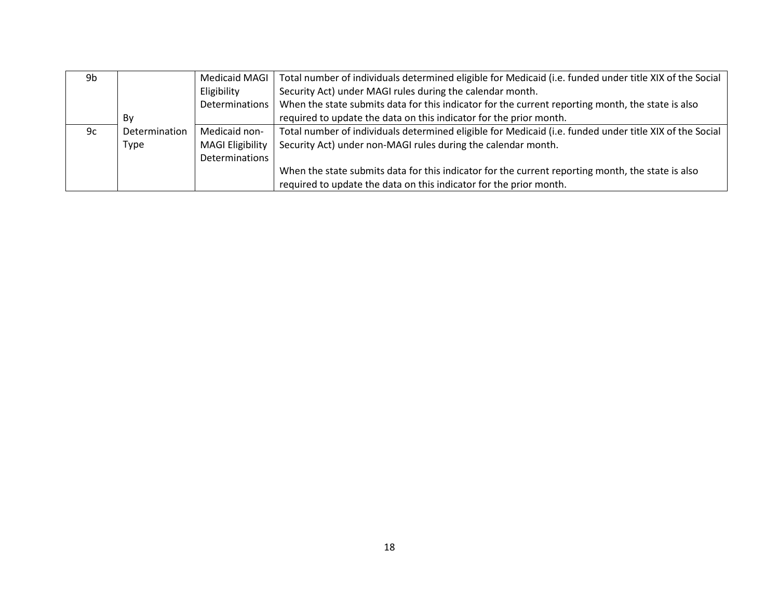| 9b |               |                         | Medicaid MAGI   Total number of individuals determined eligible for Medicaid (i.e. funded under title XIX of the Social |
|----|---------------|-------------------------|-------------------------------------------------------------------------------------------------------------------------|
|    |               | Eligibility             | Security Act) under MAGI rules during the calendar month.                                                               |
|    |               | Determinations          | When the state submits data for this indicator for the current reporting month, the state is also                       |
|    | Bv            |                         | required to update the data on this indicator for the prior month.                                                      |
| 9c | Determination | Medicaid non-           | Total number of individuals determined eligible for Medicaid (i.e. funded under title XIX of the Social                 |
|    | Type          | <b>MAGI Eligibility</b> | Security Act) under non-MAGI rules during the calendar month.                                                           |
|    |               | Determinations          |                                                                                                                         |
|    |               |                         | When the state submits data for this indicator for the current reporting month, the state is also                       |
|    |               |                         | required to update the data on this indicator for the prior month.                                                      |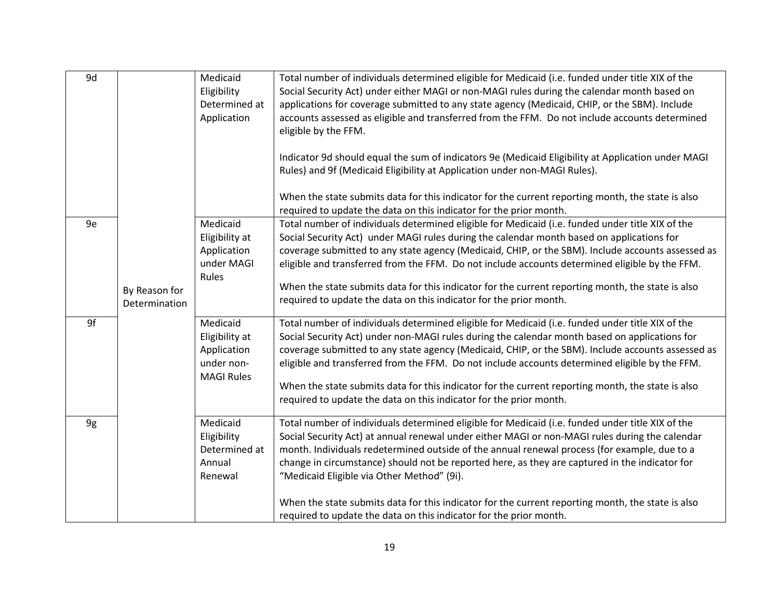| 9d |                                | Medicaid<br>Eligibility<br>Determined at<br>Application                      | Total number of individuals determined eligible for Medicaid (i.e. funded under title XIX of the<br>Social Security Act) under either MAGI or non-MAGI rules during the calendar month based on<br>applications for coverage submitted to any state agency (Medicaid, CHIP, or the SBM). Include<br>accounts assessed as eligible and transferred from the FFM. Do not include accounts determined<br>eligible by the FFM.                                                                                                                                                                                                    |
|----|--------------------------------|------------------------------------------------------------------------------|-------------------------------------------------------------------------------------------------------------------------------------------------------------------------------------------------------------------------------------------------------------------------------------------------------------------------------------------------------------------------------------------------------------------------------------------------------------------------------------------------------------------------------------------------------------------------------------------------------------------------------|
|    |                                |                                                                              | Indicator 9d should equal the sum of indicators 9e (Medicaid Eligibility at Application under MAGI<br>Rules) and 9f (Medicaid Eligibility at Application under non-MAGI Rules).<br>When the state submits data for this indicator for the current reporting month, the state is also<br>required to update the data on this indicator for the prior month.                                                                                                                                                                                                                                                                    |
| 9e | By Reason for<br>Determination | Medicaid<br>Eligibility at<br>Application<br>under MAGI<br>Rules             | Total number of individuals determined eligible for Medicaid (i.e. funded under title XIX of the<br>Social Security Act) under MAGI rules during the calendar month based on applications for<br>coverage submitted to any state agency (Medicaid, CHIP, or the SBM). Include accounts assessed as<br>eligible and transferred from the FFM. Do not include accounts determined eligible by the FFM.<br>When the state submits data for this indicator for the current reporting month, the state is also<br>required to update the data on this indicator for the prior month.                                               |
| 9f |                                | Medicaid<br>Eligibility at<br>Application<br>under non-<br><b>MAGI Rules</b> | Total number of individuals determined eligible for Medicaid (i.e. funded under title XIX of the<br>Social Security Act) under non-MAGI rules during the calendar month based on applications for<br>coverage submitted to any state agency (Medicaid, CHIP, or the SBM). Include accounts assessed as<br>eligible and transferred from the FFM. Do not include accounts determined eligible by the FFM.<br>When the state submits data for this indicator for the current reporting month, the state is also<br>required to update the data on this indicator for the prior month.                                           |
| 9g |                                | Medicaid<br>Eligibility<br>Determined at<br>Annual<br>Renewal                | Total number of individuals determined eligible for Medicaid (i.e. funded under title XIX of the<br>Social Security Act) at annual renewal under either MAGI or non-MAGI rules during the calendar<br>month. Individuals redetermined outside of the annual renewal process (for example, due to a<br>change in circumstance) should not be reported here, as they are captured in the indicator for<br>"Medicaid Eligible via Other Method" (9i).<br>When the state submits data for this indicator for the current reporting month, the state is also<br>required to update the data on this indicator for the prior month. |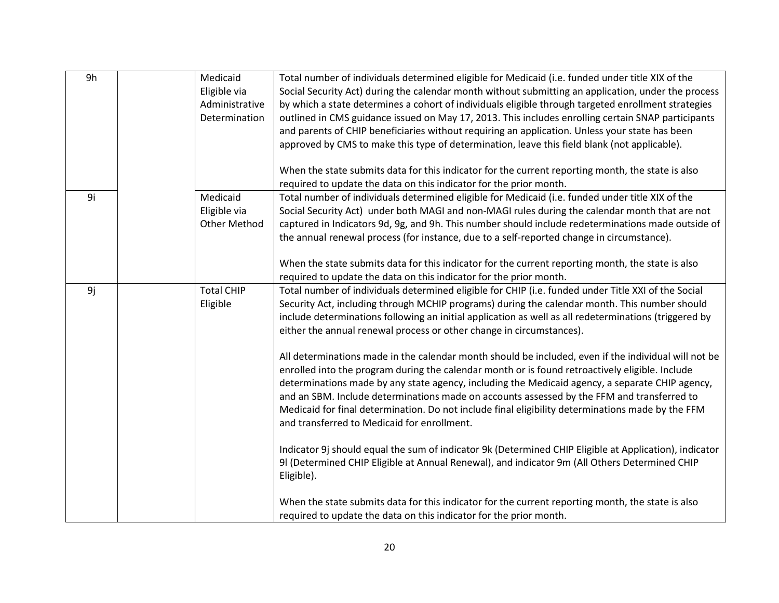| Eligible via<br>Social Security Act) during the calendar month without submitting an application, under the process<br>by which a state determines a cohort of individuals eligible through targeted enrollment strategies<br>Administrative<br>Determination<br>outlined in CMS guidance issued on May 17, 2013. This includes enrolling certain SNAP participants<br>and parents of CHIP beneficiaries without requiring an application. Unless your state has been<br>approved by CMS to make this type of determination, leave this field blank (not applicable).<br>When the state submits data for this indicator for the current reporting month, the state is also<br>required to update the data on this indicator for the prior month.<br>9i<br>Medicaid<br>Total number of individuals determined eligible for Medicaid (i.e. funded under title XIX of the<br>Eligible via<br>Social Security Act) under both MAGI and non-MAGI rules during the calendar month that are not<br><b>Other Method</b><br>captured in Indicators 9d, 9g, and 9h. This number should include redeterminations made outside of<br>the annual renewal process (for instance, due to a self-reported change in circumstance).<br>When the state submits data for this indicator for the current reporting month, the state is also<br>required to update the data on this indicator for the prior month.<br>9j<br><b>Total CHIP</b><br>Total number of individuals determined eligible for CHIP (i.e. funded under Title XXI of the Social<br>Security Act, including through MCHIP programs) during the calendar month. This number should<br>Eligible<br>include determinations following an initial application as well as all redeterminations (triggered by<br>either the annual renewal process or other change in circumstances).<br>All determinations made in the calendar month should be included, even if the individual will not be<br>enrolled into the program during the calendar month or is found retroactively eligible. Include<br>determinations made by any state agency, including the Medicaid agency, a separate CHIP agency,<br>and an SBM. Include determinations made on accounts assessed by the FFM and transferred to<br>Medicaid for final determination. Do not include final eligibility determinations made by the FFM<br>and transferred to Medicaid for enrollment.<br>Indicator 9j should equal the sum of indicator 9k (Determined CHIP Eligible at Application), indicator<br>9I (Determined CHIP Eligible at Annual Renewal), and indicator 9m (All Others Determined CHIP | 9h | Medicaid | Total number of individuals determined eligible for Medicaid (i.e. funded under title XIX of the |
|----------------------------------------------------------------------------------------------------------------------------------------------------------------------------------------------------------------------------------------------------------------------------------------------------------------------------------------------------------------------------------------------------------------------------------------------------------------------------------------------------------------------------------------------------------------------------------------------------------------------------------------------------------------------------------------------------------------------------------------------------------------------------------------------------------------------------------------------------------------------------------------------------------------------------------------------------------------------------------------------------------------------------------------------------------------------------------------------------------------------------------------------------------------------------------------------------------------------------------------------------------------------------------------------------------------------------------------------------------------------------------------------------------------------------------------------------------------------------------------------------------------------------------------------------------------------------------------------------------------------------------------------------------------------------------------------------------------------------------------------------------------------------------------------------------------------------------------------------------------------------------------------------------------------------------------------------------------------------------------------------------------------------------------------------------------------------------------------------------------------------------------------------------------------------------------------------------------------------------------------------------------------------------------------------------------------------------------------------------------------------------------------------------------------------------------------------------------------------------------------------------------------------------------------------------------------------------------------------------|----|----------|--------------------------------------------------------------------------------------------------|
|                                                                                                                                                                                                                                                                                                                                                                                                                                                                                                                                                                                                                                                                                                                                                                                                                                                                                                                                                                                                                                                                                                                                                                                                                                                                                                                                                                                                                                                                                                                                                                                                                                                                                                                                                                                                                                                                                                                                                                                                                                                                                                                                                                                                                                                                                                                                                                                                                                                                                                                                                                                                          |    |          |                                                                                                  |
|                                                                                                                                                                                                                                                                                                                                                                                                                                                                                                                                                                                                                                                                                                                                                                                                                                                                                                                                                                                                                                                                                                                                                                                                                                                                                                                                                                                                                                                                                                                                                                                                                                                                                                                                                                                                                                                                                                                                                                                                                                                                                                                                                                                                                                                                                                                                                                                                                                                                                                                                                                                                          |    |          |                                                                                                  |
|                                                                                                                                                                                                                                                                                                                                                                                                                                                                                                                                                                                                                                                                                                                                                                                                                                                                                                                                                                                                                                                                                                                                                                                                                                                                                                                                                                                                                                                                                                                                                                                                                                                                                                                                                                                                                                                                                                                                                                                                                                                                                                                                                                                                                                                                                                                                                                                                                                                                                                                                                                                                          |    |          |                                                                                                  |
|                                                                                                                                                                                                                                                                                                                                                                                                                                                                                                                                                                                                                                                                                                                                                                                                                                                                                                                                                                                                                                                                                                                                                                                                                                                                                                                                                                                                                                                                                                                                                                                                                                                                                                                                                                                                                                                                                                                                                                                                                                                                                                                                                                                                                                                                                                                                                                                                                                                                                                                                                                                                          |    |          |                                                                                                  |
|                                                                                                                                                                                                                                                                                                                                                                                                                                                                                                                                                                                                                                                                                                                                                                                                                                                                                                                                                                                                                                                                                                                                                                                                                                                                                                                                                                                                                                                                                                                                                                                                                                                                                                                                                                                                                                                                                                                                                                                                                                                                                                                                                                                                                                                                                                                                                                                                                                                                                                                                                                                                          |    |          |                                                                                                  |
|                                                                                                                                                                                                                                                                                                                                                                                                                                                                                                                                                                                                                                                                                                                                                                                                                                                                                                                                                                                                                                                                                                                                                                                                                                                                                                                                                                                                                                                                                                                                                                                                                                                                                                                                                                                                                                                                                                                                                                                                                                                                                                                                                                                                                                                                                                                                                                                                                                                                                                                                                                                                          |    |          |                                                                                                  |
|                                                                                                                                                                                                                                                                                                                                                                                                                                                                                                                                                                                                                                                                                                                                                                                                                                                                                                                                                                                                                                                                                                                                                                                                                                                                                                                                                                                                                                                                                                                                                                                                                                                                                                                                                                                                                                                                                                                                                                                                                                                                                                                                                                                                                                                                                                                                                                                                                                                                                                                                                                                                          |    |          |                                                                                                  |
|                                                                                                                                                                                                                                                                                                                                                                                                                                                                                                                                                                                                                                                                                                                                                                                                                                                                                                                                                                                                                                                                                                                                                                                                                                                                                                                                                                                                                                                                                                                                                                                                                                                                                                                                                                                                                                                                                                                                                                                                                                                                                                                                                                                                                                                                                                                                                                                                                                                                                                                                                                                                          |    |          |                                                                                                  |
|                                                                                                                                                                                                                                                                                                                                                                                                                                                                                                                                                                                                                                                                                                                                                                                                                                                                                                                                                                                                                                                                                                                                                                                                                                                                                                                                                                                                                                                                                                                                                                                                                                                                                                                                                                                                                                                                                                                                                                                                                                                                                                                                                                                                                                                                                                                                                                                                                                                                                                                                                                                                          |    |          |                                                                                                  |
|                                                                                                                                                                                                                                                                                                                                                                                                                                                                                                                                                                                                                                                                                                                                                                                                                                                                                                                                                                                                                                                                                                                                                                                                                                                                                                                                                                                                                                                                                                                                                                                                                                                                                                                                                                                                                                                                                                                                                                                                                                                                                                                                                                                                                                                                                                                                                                                                                                                                                                                                                                                                          |    |          |                                                                                                  |
|                                                                                                                                                                                                                                                                                                                                                                                                                                                                                                                                                                                                                                                                                                                                                                                                                                                                                                                                                                                                                                                                                                                                                                                                                                                                                                                                                                                                                                                                                                                                                                                                                                                                                                                                                                                                                                                                                                                                                                                                                                                                                                                                                                                                                                                                                                                                                                                                                                                                                                                                                                                                          |    |          |                                                                                                  |
|                                                                                                                                                                                                                                                                                                                                                                                                                                                                                                                                                                                                                                                                                                                                                                                                                                                                                                                                                                                                                                                                                                                                                                                                                                                                                                                                                                                                                                                                                                                                                                                                                                                                                                                                                                                                                                                                                                                                                                                                                                                                                                                                                                                                                                                                                                                                                                                                                                                                                                                                                                                                          |    |          |                                                                                                  |
|                                                                                                                                                                                                                                                                                                                                                                                                                                                                                                                                                                                                                                                                                                                                                                                                                                                                                                                                                                                                                                                                                                                                                                                                                                                                                                                                                                                                                                                                                                                                                                                                                                                                                                                                                                                                                                                                                                                                                                                                                                                                                                                                                                                                                                                                                                                                                                                                                                                                                                                                                                                                          |    |          |                                                                                                  |
|                                                                                                                                                                                                                                                                                                                                                                                                                                                                                                                                                                                                                                                                                                                                                                                                                                                                                                                                                                                                                                                                                                                                                                                                                                                                                                                                                                                                                                                                                                                                                                                                                                                                                                                                                                                                                                                                                                                                                                                                                                                                                                                                                                                                                                                                                                                                                                                                                                                                                                                                                                                                          |    |          |                                                                                                  |
|                                                                                                                                                                                                                                                                                                                                                                                                                                                                                                                                                                                                                                                                                                                                                                                                                                                                                                                                                                                                                                                                                                                                                                                                                                                                                                                                                                                                                                                                                                                                                                                                                                                                                                                                                                                                                                                                                                                                                                                                                                                                                                                                                                                                                                                                                                                                                                                                                                                                                                                                                                                                          |    |          |                                                                                                  |
|                                                                                                                                                                                                                                                                                                                                                                                                                                                                                                                                                                                                                                                                                                                                                                                                                                                                                                                                                                                                                                                                                                                                                                                                                                                                                                                                                                                                                                                                                                                                                                                                                                                                                                                                                                                                                                                                                                                                                                                                                                                                                                                                                                                                                                                                                                                                                                                                                                                                                                                                                                                                          |    |          |                                                                                                  |
|                                                                                                                                                                                                                                                                                                                                                                                                                                                                                                                                                                                                                                                                                                                                                                                                                                                                                                                                                                                                                                                                                                                                                                                                                                                                                                                                                                                                                                                                                                                                                                                                                                                                                                                                                                                                                                                                                                                                                                                                                                                                                                                                                                                                                                                                                                                                                                                                                                                                                                                                                                                                          |    |          |                                                                                                  |
|                                                                                                                                                                                                                                                                                                                                                                                                                                                                                                                                                                                                                                                                                                                                                                                                                                                                                                                                                                                                                                                                                                                                                                                                                                                                                                                                                                                                                                                                                                                                                                                                                                                                                                                                                                                                                                                                                                                                                                                                                                                                                                                                                                                                                                                                                                                                                                                                                                                                                                                                                                                                          |    |          |                                                                                                  |
|                                                                                                                                                                                                                                                                                                                                                                                                                                                                                                                                                                                                                                                                                                                                                                                                                                                                                                                                                                                                                                                                                                                                                                                                                                                                                                                                                                                                                                                                                                                                                                                                                                                                                                                                                                                                                                                                                                                                                                                                                                                                                                                                                                                                                                                                                                                                                                                                                                                                                                                                                                                                          |    |          |                                                                                                  |
|                                                                                                                                                                                                                                                                                                                                                                                                                                                                                                                                                                                                                                                                                                                                                                                                                                                                                                                                                                                                                                                                                                                                                                                                                                                                                                                                                                                                                                                                                                                                                                                                                                                                                                                                                                                                                                                                                                                                                                                                                                                                                                                                                                                                                                                                                                                                                                                                                                                                                                                                                                                                          |    |          |                                                                                                  |
|                                                                                                                                                                                                                                                                                                                                                                                                                                                                                                                                                                                                                                                                                                                                                                                                                                                                                                                                                                                                                                                                                                                                                                                                                                                                                                                                                                                                                                                                                                                                                                                                                                                                                                                                                                                                                                                                                                                                                                                                                                                                                                                                                                                                                                                                                                                                                                                                                                                                                                                                                                                                          |    |          |                                                                                                  |
|                                                                                                                                                                                                                                                                                                                                                                                                                                                                                                                                                                                                                                                                                                                                                                                                                                                                                                                                                                                                                                                                                                                                                                                                                                                                                                                                                                                                                                                                                                                                                                                                                                                                                                                                                                                                                                                                                                                                                                                                                                                                                                                                                                                                                                                                                                                                                                                                                                                                                                                                                                                                          |    |          |                                                                                                  |
|                                                                                                                                                                                                                                                                                                                                                                                                                                                                                                                                                                                                                                                                                                                                                                                                                                                                                                                                                                                                                                                                                                                                                                                                                                                                                                                                                                                                                                                                                                                                                                                                                                                                                                                                                                                                                                                                                                                                                                                                                                                                                                                                                                                                                                                                                                                                                                                                                                                                                                                                                                                                          |    |          |                                                                                                  |
|                                                                                                                                                                                                                                                                                                                                                                                                                                                                                                                                                                                                                                                                                                                                                                                                                                                                                                                                                                                                                                                                                                                                                                                                                                                                                                                                                                                                                                                                                                                                                                                                                                                                                                                                                                                                                                                                                                                                                                                                                                                                                                                                                                                                                                                                                                                                                                                                                                                                                                                                                                                                          |    |          |                                                                                                  |
|                                                                                                                                                                                                                                                                                                                                                                                                                                                                                                                                                                                                                                                                                                                                                                                                                                                                                                                                                                                                                                                                                                                                                                                                                                                                                                                                                                                                                                                                                                                                                                                                                                                                                                                                                                                                                                                                                                                                                                                                                                                                                                                                                                                                                                                                                                                                                                                                                                                                                                                                                                                                          |    |          |                                                                                                  |
|                                                                                                                                                                                                                                                                                                                                                                                                                                                                                                                                                                                                                                                                                                                                                                                                                                                                                                                                                                                                                                                                                                                                                                                                                                                                                                                                                                                                                                                                                                                                                                                                                                                                                                                                                                                                                                                                                                                                                                                                                                                                                                                                                                                                                                                                                                                                                                                                                                                                                                                                                                                                          |    |          |                                                                                                  |
|                                                                                                                                                                                                                                                                                                                                                                                                                                                                                                                                                                                                                                                                                                                                                                                                                                                                                                                                                                                                                                                                                                                                                                                                                                                                                                                                                                                                                                                                                                                                                                                                                                                                                                                                                                                                                                                                                                                                                                                                                                                                                                                                                                                                                                                                                                                                                                                                                                                                                                                                                                                                          |    |          |                                                                                                  |
|                                                                                                                                                                                                                                                                                                                                                                                                                                                                                                                                                                                                                                                                                                                                                                                                                                                                                                                                                                                                                                                                                                                                                                                                                                                                                                                                                                                                                                                                                                                                                                                                                                                                                                                                                                                                                                                                                                                                                                                                                                                                                                                                                                                                                                                                                                                                                                                                                                                                                                                                                                                                          |    |          |                                                                                                  |
|                                                                                                                                                                                                                                                                                                                                                                                                                                                                                                                                                                                                                                                                                                                                                                                                                                                                                                                                                                                                                                                                                                                                                                                                                                                                                                                                                                                                                                                                                                                                                                                                                                                                                                                                                                                                                                                                                                                                                                                                                                                                                                                                                                                                                                                                                                                                                                                                                                                                                                                                                                                                          |    |          |                                                                                                  |
|                                                                                                                                                                                                                                                                                                                                                                                                                                                                                                                                                                                                                                                                                                                                                                                                                                                                                                                                                                                                                                                                                                                                                                                                                                                                                                                                                                                                                                                                                                                                                                                                                                                                                                                                                                                                                                                                                                                                                                                                                                                                                                                                                                                                                                                                                                                                                                                                                                                                                                                                                                                                          |    |          |                                                                                                  |
|                                                                                                                                                                                                                                                                                                                                                                                                                                                                                                                                                                                                                                                                                                                                                                                                                                                                                                                                                                                                                                                                                                                                                                                                                                                                                                                                                                                                                                                                                                                                                                                                                                                                                                                                                                                                                                                                                                                                                                                                                                                                                                                                                                                                                                                                                                                                                                                                                                                                                                                                                                                                          |    |          | Eligible).                                                                                       |
| When the state submits data for this indicator for the current reporting month, the state is also                                                                                                                                                                                                                                                                                                                                                                                                                                                                                                                                                                                                                                                                                                                                                                                                                                                                                                                                                                                                                                                                                                                                                                                                                                                                                                                                                                                                                                                                                                                                                                                                                                                                                                                                                                                                                                                                                                                                                                                                                                                                                                                                                                                                                                                                                                                                                                                                                                                                                                        |    |          |                                                                                                  |
| required to update the data on this indicator for the prior month.                                                                                                                                                                                                                                                                                                                                                                                                                                                                                                                                                                                                                                                                                                                                                                                                                                                                                                                                                                                                                                                                                                                                                                                                                                                                                                                                                                                                                                                                                                                                                                                                                                                                                                                                                                                                                                                                                                                                                                                                                                                                                                                                                                                                                                                                                                                                                                                                                                                                                                                                       |    |          |                                                                                                  |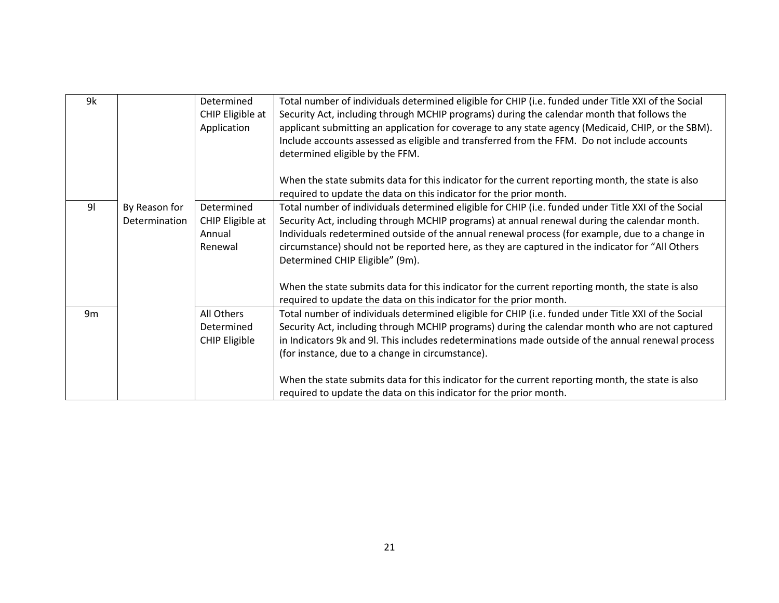| 9k             |               | Determined           | Total number of individuals determined eligible for CHIP (i.e. funded under Title XXI of the Social |
|----------------|---------------|----------------------|-----------------------------------------------------------------------------------------------------|
|                |               | CHIP Eligible at     | Security Act, including through MCHIP programs) during the calendar month that follows the          |
|                |               | Application          | applicant submitting an application for coverage to any state agency (Medicaid, CHIP, or the SBM).  |
|                |               |                      | Include accounts assessed as eligible and transferred from the FFM. Do not include accounts         |
|                |               |                      | determined eligible by the FFM.                                                                     |
|                |               |                      |                                                                                                     |
|                |               |                      | When the state submits data for this indicator for the current reporting month, the state is also   |
|                |               |                      | required to update the data on this indicator for the prior month.                                  |
| 9 <sub>l</sub> | By Reason for | Determined           | Total number of individuals determined eligible for CHIP (i.e. funded under Title XXI of the Social |
|                | Determination | CHIP Eligible at     | Security Act, including through MCHIP programs) at annual renewal during the calendar month.        |
|                |               | Annual               | Individuals redetermined outside of the annual renewal process (for example, due to a change in     |
|                |               | Renewal              | circumstance) should not be reported here, as they are captured in the indicator for "All Others    |
|                |               |                      |                                                                                                     |
|                |               |                      | Determined CHIP Eligible" (9m).                                                                     |
|                |               |                      | When the state submits data for this indicator for the current reporting month, the state is also   |
|                |               |                      |                                                                                                     |
|                |               |                      | required to update the data on this indicator for the prior month.                                  |
| 9 <sub>m</sub> |               | All Others           | Total number of individuals determined eligible for CHIP (i.e. funded under Title XXI of the Social |
|                |               | Determined           | Security Act, including through MCHIP programs) during the calendar month who are not captured      |
|                |               | <b>CHIP Eligible</b> | in Indicators 9k and 9l. This includes redeterminations made outside of the annual renewal process  |
|                |               |                      | (for instance, due to a change in circumstance).                                                    |
|                |               |                      |                                                                                                     |
|                |               |                      | When the state submits data for this indicator for the current reporting month, the state is also   |
|                |               |                      | required to update the data on this indicator for the prior month.                                  |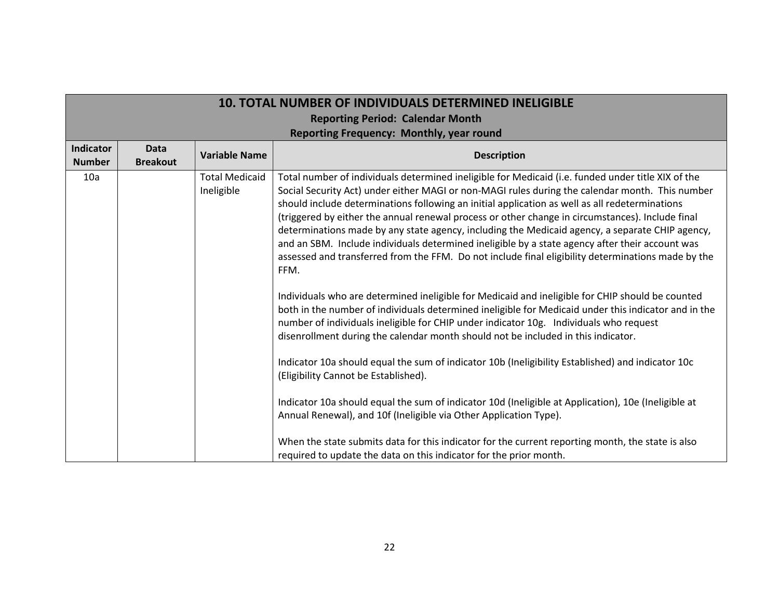|                      | <b>10. TOTAL NUMBER OF INDIVIDUALS DETERMINED INELIGIBLE</b> |                                     |                                                                                                                                                                                                                                                                                                                                                                                                                                                                                                                                                                                                                                                                                                                                                                                                                                                                                                                                                                                                                                                                                                                                                                                                                                                                                                                                                                                                                                                     |  |
|----------------------|--------------------------------------------------------------|-------------------------------------|-----------------------------------------------------------------------------------------------------------------------------------------------------------------------------------------------------------------------------------------------------------------------------------------------------------------------------------------------------------------------------------------------------------------------------------------------------------------------------------------------------------------------------------------------------------------------------------------------------------------------------------------------------------------------------------------------------------------------------------------------------------------------------------------------------------------------------------------------------------------------------------------------------------------------------------------------------------------------------------------------------------------------------------------------------------------------------------------------------------------------------------------------------------------------------------------------------------------------------------------------------------------------------------------------------------------------------------------------------------------------------------------------------------------------------------------------------|--|
|                      | <b>Reporting Period: Calendar Month</b>                      |                                     |                                                                                                                                                                                                                                                                                                                                                                                                                                                                                                                                                                                                                                                                                                                                                                                                                                                                                                                                                                                                                                                                                                                                                                                                                                                                                                                                                                                                                                                     |  |
|                      |                                                              |                                     | Reporting Frequency: Monthly, year round                                                                                                                                                                                                                                                                                                                                                                                                                                                                                                                                                                                                                                                                                                                                                                                                                                                                                                                                                                                                                                                                                                                                                                                                                                                                                                                                                                                                            |  |
| Indicator            | <b>Data</b>                                                  | <b>Variable Name</b>                | <b>Description</b>                                                                                                                                                                                                                                                                                                                                                                                                                                                                                                                                                                                                                                                                                                                                                                                                                                                                                                                                                                                                                                                                                                                                                                                                                                                                                                                                                                                                                                  |  |
| <b>Number</b><br>10a | <b>Breakout</b>                                              | <b>Total Medicaid</b><br>Ineligible | Total number of individuals determined ineligible for Medicaid (i.e. funded under title XIX of the<br>Social Security Act) under either MAGI or non-MAGI rules during the calendar month. This number<br>should include determinations following an initial application as well as all redeterminations<br>(triggered by either the annual renewal process or other change in circumstances). Include final<br>determinations made by any state agency, including the Medicaid agency, a separate CHIP agency,<br>and an SBM. Include individuals determined ineligible by a state agency after their account was<br>assessed and transferred from the FFM. Do not include final eligibility determinations made by the<br>FFM.<br>Individuals who are determined ineligible for Medicaid and ineligible for CHIP should be counted<br>both in the number of individuals determined ineligible for Medicaid under this indicator and in the<br>number of individuals ineligible for CHIP under indicator 10g. Individuals who request<br>disenrollment during the calendar month should not be included in this indicator.<br>Indicator 10a should equal the sum of indicator 10b (Ineligibility Established) and indicator 10c<br>(Eligibility Cannot be Established).<br>Indicator 10a should equal the sum of indicator 10d (Ineligible at Application), 10e (Ineligible at<br>Annual Renewal), and 10f (Ineligible via Other Application Type). |  |
|                      |                                                              |                                     | When the state submits data for this indicator for the current reporting month, the state is also<br>required to update the data on this indicator for the prior month.                                                                                                                                                                                                                                                                                                                                                                                                                                                                                                                                                                                                                                                                                                                                                                                                                                                                                                                                                                                                                                                                                                                                                                                                                                                                             |  |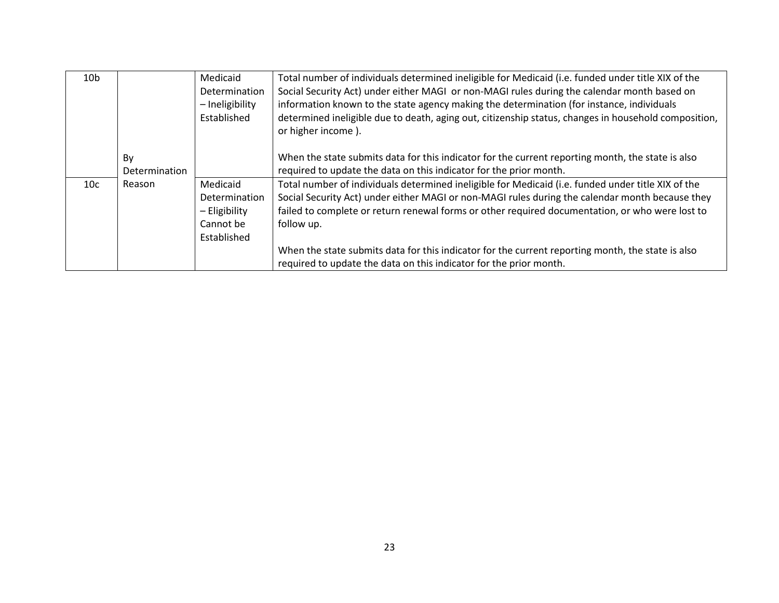| 10 <sub>b</sub> |               | Medicaid        | Total number of individuals determined ineligible for Medicaid (i.e. funded under title XIX of the                         |
|-----------------|---------------|-----------------|----------------------------------------------------------------------------------------------------------------------------|
|                 |               | Determination   | Social Security Act) under either MAGI or non-MAGI rules during the calendar month based on                                |
|                 |               | - Ineligibility | information known to the state agency making the determination (for instance, individuals                                  |
|                 |               | Established     | determined ineligible due to death, aging out, citizenship status, changes in household composition,<br>or higher income). |
|                 | By            |                 | When the state submits data for this indicator for the current reporting month, the state is also                          |
|                 | Determination |                 | required to update the data on this indicator for the prior month.                                                         |
| 10c             | Reason        | Medicaid        | Total number of individuals determined ineligible for Medicaid (i.e. funded under title XIX of the                         |
|                 |               | Determination   | Social Security Act) under either MAGI or non-MAGI rules during the calendar month because they                            |
|                 |               | - Eligibility   | failed to complete or return renewal forms or other required documentation, or who were lost to                            |
|                 |               | Cannot be       | follow up.                                                                                                                 |
|                 |               | Established     |                                                                                                                            |
|                 |               |                 | When the state submits data for this indicator for the current reporting month, the state is also                          |
|                 |               |                 | required to update the data on this indicator for the prior month.                                                         |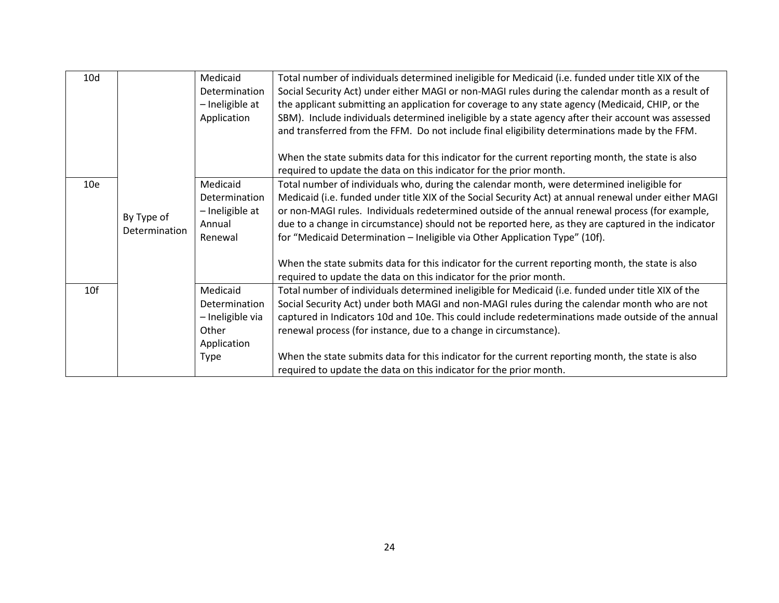| 10d             |               | Medicaid         | Total number of individuals determined ineligible for Medicaid (i.e. funded under title XIX of the    |
|-----------------|---------------|------------------|-------------------------------------------------------------------------------------------------------|
|                 |               | Determination    | Social Security Act) under either MAGI or non-MAGI rules during the calendar month as a result of     |
|                 |               | - Ineligible at  | the applicant submitting an application for coverage to any state agency (Medicaid, CHIP, or the      |
|                 |               | Application      | SBM). Include individuals determined ineligible by a state agency after their account was assessed    |
|                 |               |                  | and transferred from the FFM. Do not include final eligibility determinations made by the FFM.        |
|                 |               |                  |                                                                                                       |
|                 |               |                  | When the state submits data for this indicator for the current reporting month, the state is also     |
|                 |               |                  | required to update the data on this indicator for the prior month.                                    |
| 10 <sub>e</sub> |               | Medicaid         | Total number of individuals who, during the calendar month, were determined ineligible for            |
|                 |               | Determination    | Medicaid (i.e. funded under title XIX of the Social Security Act) at annual renewal under either MAGI |
|                 | By Type of    | - Ineligible at  | or non-MAGI rules. Individuals redetermined outside of the annual renewal process (for example,       |
|                 | Determination | Annual           | due to a change in circumstance) should not be reported here, as they are captured in the indicator   |
|                 |               | Renewal          | for "Medicaid Determination - Ineligible via Other Application Type" (10f).                           |
|                 |               |                  |                                                                                                       |
|                 |               |                  | When the state submits data for this indicator for the current reporting month, the state is also     |
|                 |               |                  | required to update the data on this indicator for the prior month.                                    |
| 10 <sub>f</sub> |               | Medicaid         | Total number of individuals determined ineligible for Medicaid (i.e. funded under title XIX of the    |
|                 |               | Determination    | Social Security Act) under both MAGI and non-MAGI rules during the calendar month who are not         |
|                 |               | - Ineligible via | captured in Indicators 10d and 10e. This could include redeterminations made outside of the annual    |
|                 |               | Other            | renewal process (for instance, due to a change in circumstance).                                      |
|                 |               | Application      |                                                                                                       |
|                 |               | <b>Type</b>      | When the state submits data for this indicator for the current reporting month, the state is also     |
|                 |               |                  | required to update the data on this indicator for the prior month.                                    |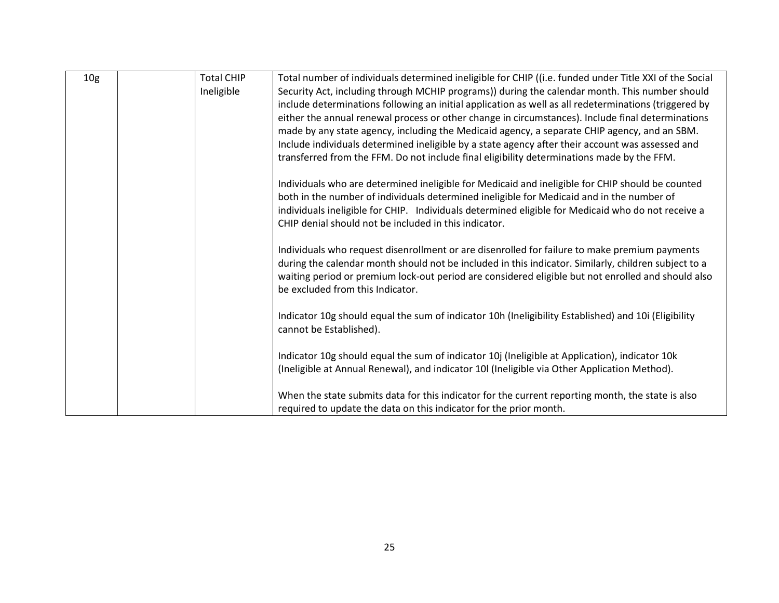| 10 <sub>g</sub> | <b>Total CHIP</b> | Total number of individuals determined ineligible for CHIP ((i.e. funded under Title XXI of the Social |
|-----------------|-------------------|--------------------------------------------------------------------------------------------------------|
|                 | Ineligible        | Security Act, including through MCHIP programs)) during the calendar month. This number should         |
|                 |                   | include determinations following an initial application as well as all redeterminations (triggered by  |
|                 |                   | either the annual renewal process or other change in circumstances). Include final determinations      |
|                 |                   | made by any state agency, including the Medicaid agency, a separate CHIP agency, and an SBM.           |
|                 |                   | Include individuals determined ineligible by a state agency after their account was assessed and       |
|                 |                   | transferred from the FFM. Do not include final eligibility determinations made by the FFM.             |
|                 |                   | Individuals who are determined ineligible for Medicaid and ineligible for CHIP should be counted       |
|                 |                   | both in the number of individuals determined ineligible for Medicaid and in the number of              |
|                 |                   | individuals ineligible for CHIP. Individuals determined eligible for Medicaid who do not receive a     |
|                 |                   | CHIP denial should not be included in this indicator.                                                  |
|                 |                   | Individuals who request disenrollment or are disenrolled for failure to make premium payments          |
|                 |                   | during the calendar month should not be included in this indicator. Similarly, children subject to a   |
|                 |                   | waiting period or premium lock-out period are considered eligible but not enrolled and should also     |
|                 |                   | be excluded from this Indicator.                                                                       |
|                 |                   |                                                                                                        |
|                 |                   | Indicator 10g should equal the sum of indicator 10h (Ineligibility Established) and 10i (Eligibility   |
|                 |                   | cannot be Established).                                                                                |
|                 |                   | Indicator 10g should equal the sum of indicator 10j (Ineligible at Application), indicator 10k         |
|                 |                   | (Ineligible at Annual Renewal), and indicator 10l (Ineligible via Other Application Method).           |
|                 |                   |                                                                                                        |
|                 |                   | When the state submits data for this indicator for the current reporting month, the state is also      |
|                 |                   | required to update the data on this indicator for the prior month.                                     |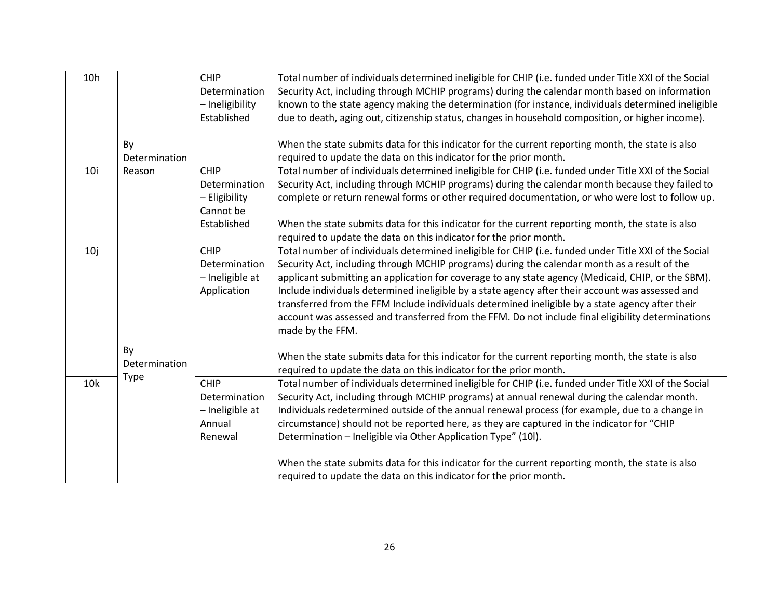| 10h |               | <b>CHIP</b>     | Total number of individuals determined ineligible for CHIP (i.e. funded under Title XXI of the Social |
|-----|---------------|-----------------|-------------------------------------------------------------------------------------------------------|
|     |               | Determination   | Security Act, including through MCHIP programs) during the calendar month based on information        |
|     |               | - Ineligibility | known to the state agency making the determination (for instance, individuals determined ineligible   |
|     |               | Established     | due to death, aging out, citizenship status, changes in household composition, or higher income).     |
|     |               |                 |                                                                                                       |
|     |               |                 |                                                                                                       |
|     | By            |                 | When the state submits data for this indicator for the current reporting month, the state is also     |
|     | Determination |                 | required to update the data on this indicator for the prior month.                                    |
| 10i | Reason        | <b>CHIP</b>     | Total number of individuals determined ineligible for CHIP (i.e. funded under Title XXI of the Social |
|     |               | Determination   | Security Act, including through MCHIP programs) during the calendar month because they failed to      |
|     |               | - Eligibility   | complete or return renewal forms or other required documentation, or who were lost to follow up.      |
|     |               | Cannot be       |                                                                                                       |
|     |               | Established     | When the state submits data for this indicator for the current reporting month, the state is also     |
|     |               |                 | required to update the data on this indicator for the prior month.                                    |
| 10j |               | <b>CHIP</b>     | Total number of individuals determined ineligible for CHIP (i.e. funded under Title XXI of the Social |
|     |               | Determination   | Security Act, including through MCHIP programs) during the calendar month as a result of the          |
|     |               | - Ineligible at | applicant submitting an application for coverage to any state agency (Medicaid, CHIP, or the SBM).    |
|     |               | Application     | Include individuals determined ineligible by a state agency after their account was assessed and      |
|     |               |                 | transferred from the FFM Include individuals determined ineligible by a state agency after their      |
|     |               |                 | account was assessed and transferred from the FFM. Do not include final eligibility determinations    |
|     |               |                 | made by the FFM.                                                                                      |
|     |               |                 |                                                                                                       |
|     | By            |                 |                                                                                                       |
|     | Determination |                 | When the state submits data for this indicator for the current reporting month, the state is also     |
|     | Type          |                 | required to update the data on this indicator for the prior month.                                    |
| 10k |               | <b>CHIP</b>     | Total number of individuals determined ineligible for CHIP (i.e. funded under Title XXI of the Social |
|     |               | Determination   | Security Act, including through MCHIP programs) at annual renewal during the calendar month.          |
|     |               | - Ineligible at | Individuals redetermined outside of the annual renewal process (for example, due to a change in       |
|     |               | Annual          | circumstance) should not be reported here, as they are captured in the indicator for "CHIP            |
|     |               | Renewal         | Determination - Ineligible via Other Application Type" (10I).                                         |
|     |               |                 |                                                                                                       |
|     |               |                 | When the state submits data for this indicator for the current reporting month, the state is also     |
|     |               |                 | required to update the data on this indicator for the prior month.                                    |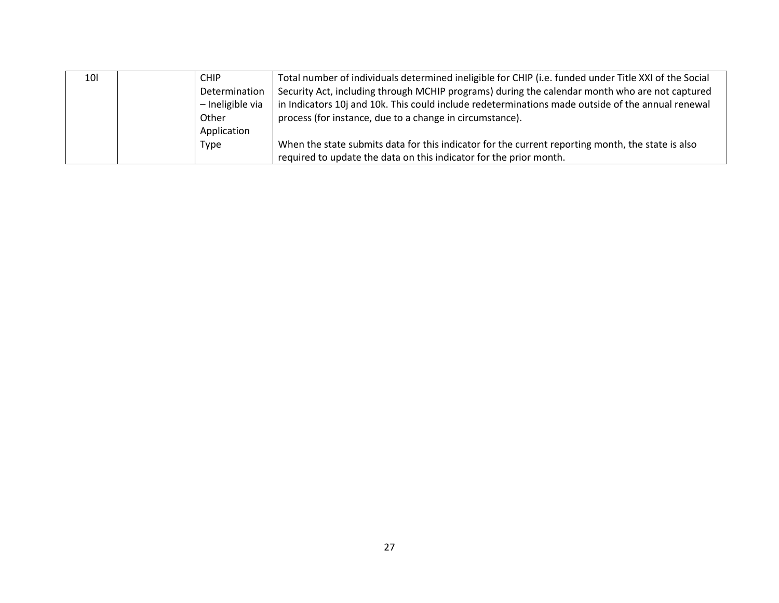| <b>10l</b> | <b>CHIP</b>      | Total number of individuals determined ineligible for CHIP (i.e. funded under Title XXI of the Social |
|------------|------------------|-------------------------------------------------------------------------------------------------------|
|            | Determination    | Security Act, including through MCHIP programs) during the calendar month who are not captured        |
|            | - Ineligible via | in Indicators 10j and 10k. This could include redeterminations made outside of the annual renewal     |
|            | Other            | process (for instance, due to a change in circumstance).                                              |
|            | Application      |                                                                                                       |
|            | Type             | When the state submits data for this indicator for the current reporting month, the state is also     |
|            |                  | required to update the data on this indicator for the prior month.                                    |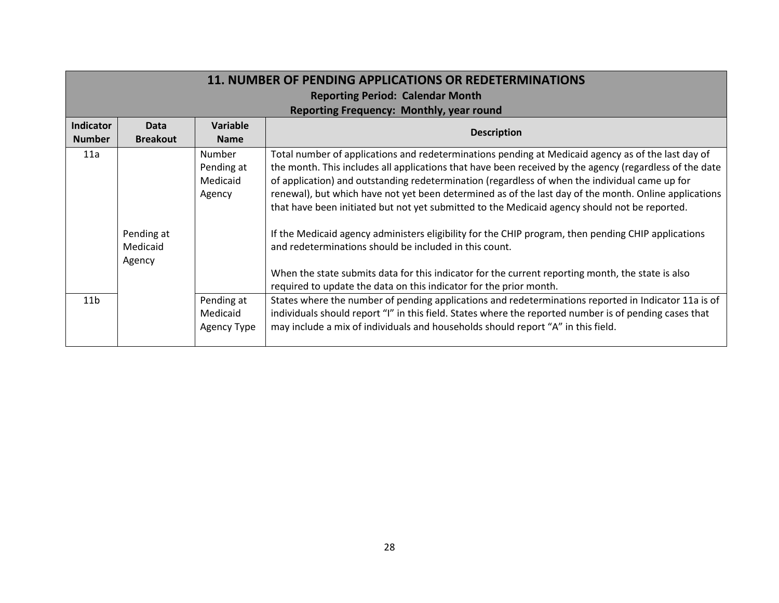|                  | <b>11. NUMBER OF PENDING APPLICATIONS OR REDETERMINATIONS</b> |                                              |                                                                                                                                                                                                                                                                                                                                                                                                                                                                                                                                                                                                                                                                                                                                                                                                                                                                       |  |
|------------------|---------------------------------------------------------------|----------------------------------------------|-----------------------------------------------------------------------------------------------------------------------------------------------------------------------------------------------------------------------------------------------------------------------------------------------------------------------------------------------------------------------------------------------------------------------------------------------------------------------------------------------------------------------------------------------------------------------------------------------------------------------------------------------------------------------------------------------------------------------------------------------------------------------------------------------------------------------------------------------------------------------|--|
|                  |                                                               |                                              | <b>Reporting Period: Calendar Month</b>                                                                                                                                                                                                                                                                                                                                                                                                                                                                                                                                                                                                                                                                                                                                                                                                                               |  |
|                  |                                                               |                                              | Reporting Frequency: Monthly, year round                                                                                                                                                                                                                                                                                                                                                                                                                                                                                                                                                                                                                                                                                                                                                                                                                              |  |
| <b>Indicator</b> | Data                                                          | Variable                                     |                                                                                                                                                                                                                                                                                                                                                                                                                                                                                                                                                                                                                                                                                                                                                                                                                                                                       |  |
| <b>Number</b>    | <b>Breakout</b>                                               | <b>Name</b>                                  | <b>Description</b>                                                                                                                                                                                                                                                                                                                                                                                                                                                                                                                                                                                                                                                                                                                                                                                                                                                    |  |
| 11a              | Pending at<br>Medicaid<br>Agency                              | Number<br>Pending at<br>Medicaid<br>Agency   | Total number of applications and redeterminations pending at Medicaid agency as of the last day of<br>the month. This includes all applications that have been received by the agency (regardless of the date<br>of application) and outstanding redetermination (regardless of when the individual came up for<br>renewal), but which have not yet been determined as of the last day of the month. Online applications<br>that have been initiated but not yet submitted to the Medicaid agency should not be reported.<br>If the Medicaid agency administers eligibility for the CHIP program, then pending CHIP applications<br>and redeterminations should be included in this count.<br>When the state submits data for this indicator for the current reporting month, the state is also<br>required to update the data on this indicator for the prior month. |  |
| 11 <sub>b</sub>  |                                                               | Pending at<br>Medicaid<br><b>Agency Type</b> | States where the number of pending applications and redeterminations reported in Indicator 11a is of<br>individuals should report "I" in this field. States where the reported number is of pending cases that<br>may include a mix of individuals and households should report "A" in this field.                                                                                                                                                                                                                                                                                                                                                                                                                                                                                                                                                                    |  |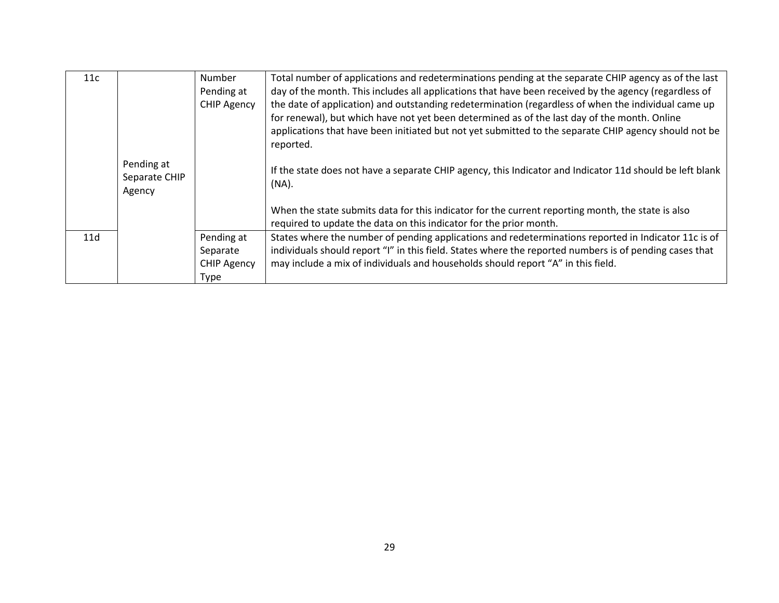| 11c |               | <b>Number</b>      | Total number of applications and redeterminations pending at the separate CHIP agency as of the last     |
|-----|---------------|--------------------|----------------------------------------------------------------------------------------------------------|
|     |               | Pending at         | day of the month. This includes all applications that have been received by the agency (regardless of    |
|     |               | <b>CHIP Agency</b> | the date of application) and outstanding redetermination (regardless of when the individual came up      |
|     |               |                    | for renewal), but which have not yet been determined as of the last day of the month. Online             |
|     |               |                    | applications that have been initiated but not yet submitted to the separate CHIP agency should not be    |
|     |               |                    | reported.                                                                                                |
|     | Pending at    |                    |                                                                                                          |
|     | Separate CHIP |                    | If the state does not have a separate CHIP agency, this Indicator and Indicator 11d should be left blank |
|     | Agency        |                    | $(NA)$ .                                                                                                 |
|     |               |                    |                                                                                                          |
|     |               |                    | When the state submits data for this indicator for the current reporting month, the state is also        |
|     |               |                    | required to update the data on this indicator for the prior month.                                       |
| 11d |               | Pending at         | States where the number of pending applications and redeterminations reported in Indicator 11c is of     |
|     |               | Separate           | individuals should report "I" in this field. States where the reported numbers is of pending cases that  |
|     |               | <b>CHIP Agency</b> | may include a mix of individuals and households should report "A" in this field.                         |
|     |               | Type               |                                                                                                          |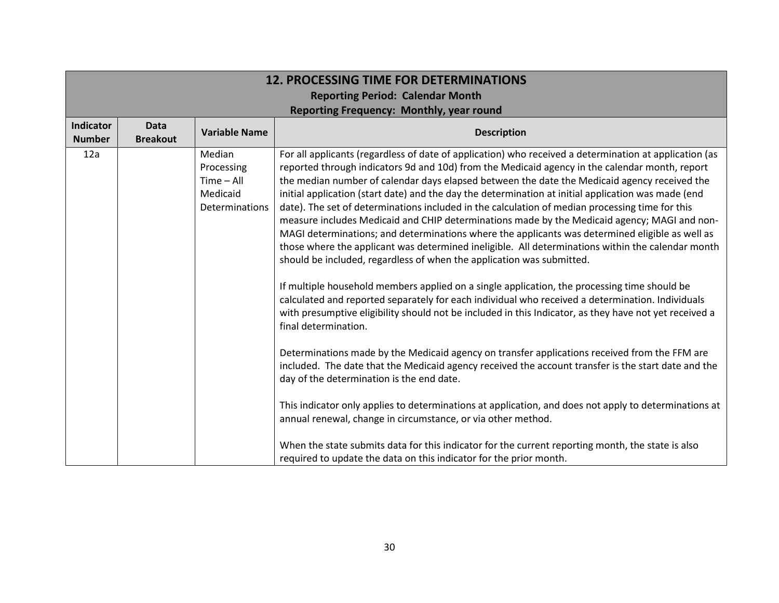|                                   | <b>12. PROCESSING TIME FOR DETERMINATIONS</b> |                                                                    |                                                                                                                                                                                                                                                                                                                                                                                                                                                                                                                                                                                                                                                                                                                                                                                                                                                                                                                                                                                                                                                                                                                                                                                                                                           |  |
|-----------------------------------|-----------------------------------------------|--------------------------------------------------------------------|-------------------------------------------------------------------------------------------------------------------------------------------------------------------------------------------------------------------------------------------------------------------------------------------------------------------------------------------------------------------------------------------------------------------------------------------------------------------------------------------------------------------------------------------------------------------------------------------------------------------------------------------------------------------------------------------------------------------------------------------------------------------------------------------------------------------------------------------------------------------------------------------------------------------------------------------------------------------------------------------------------------------------------------------------------------------------------------------------------------------------------------------------------------------------------------------------------------------------------------------|--|
|                                   | <b>Reporting Period: Calendar Month</b>       |                                                                    |                                                                                                                                                                                                                                                                                                                                                                                                                                                                                                                                                                                                                                                                                                                                                                                                                                                                                                                                                                                                                                                                                                                                                                                                                                           |  |
|                                   |                                               |                                                                    | Reporting Frequency: Monthly, year round                                                                                                                                                                                                                                                                                                                                                                                                                                                                                                                                                                                                                                                                                                                                                                                                                                                                                                                                                                                                                                                                                                                                                                                                  |  |
| <b>Indicator</b><br><b>Number</b> | <b>Data</b><br><b>Breakout</b>                | <b>Variable Name</b>                                               | <b>Description</b>                                                                                                                                                                                                                                                                                                                                                                                                                                                                                                                                                                                                                                                                                                                                                                                                                                                                                                                                                                                                                                                                                                                                                                                                                        |  |
| 12a                               |                                               | Median<br>Processing<br>$Time - All$<br>Medicaid<br>Determinations | For all applicants (regardless of date of application) who received a determination at application (as<br>reported through indicators 9d and 10d) from the Medicaid agency in the calendar month, report<br>the median number of calendar days elapsed between the date the Medicaid agency received the<br>initial application (start date) and the day the determination at initial application was made (end<br>date). The set of determinations included in the calculation of median processing time for this<br>measure includes Medicaid and CHIP determinations made by the Medicaid agency; MAGI and non-<br>MAGI determinations; and determinations where the applicants was determined eligible as well as<br>those where the applicant was determined ineligible. All determinations within the calendar month<br>should be included, regardless of when the application was submitted.<br>If multiple household members applied on a single application, the processing time should be<br>calculated and reported separately for each individual who received a determination. Individuals<br>with presumptive eligibility should not be included in this Indicator, as they have not yet received a<br>final determination. |  |
|                                   |                                               |                                                                    | Determinations made by the Medicaid agency on transfer applications received from the FFM are<br>included. The date that the Medicaid agency received the account transfer is the start date and the<br>day of the determination is the end date.<br>This indicator only applies to determinations at application, and does not apply to determinations at<br>annual renewal, change in circumstance, or via other method.<br>When the state submits data for this indicator for the current reporting month, the state is also<br>required to update the data on this indicator for the prior month.                                                                                                                                                                                                                                                                                                                                                                                                                                                                                                                                                                                                                                     |  |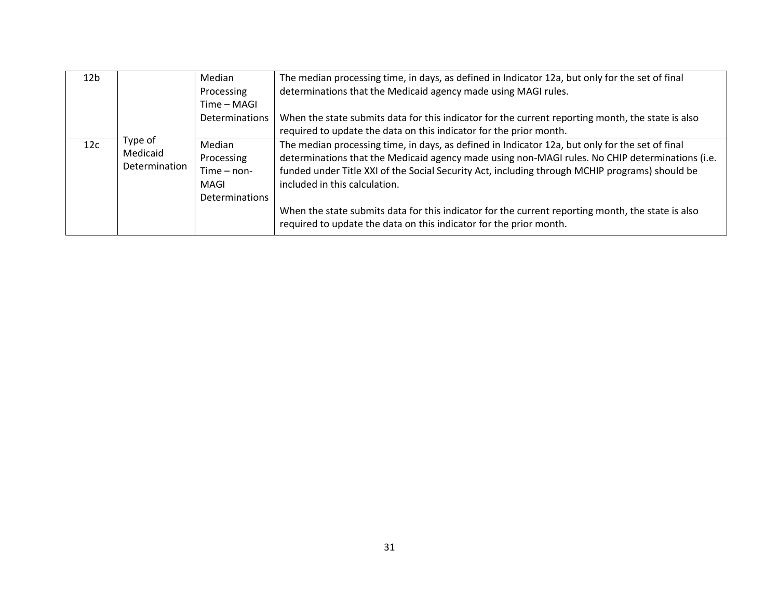| 12 <sub>b</sub> |               | Median                | The median processing time, in days, as defined in Indicator 12a, but only for the set of final                                                                         |
|-----------------|---------------|-----------------------|-------------------------------------------------------------------------------------------------------------------------------------------------------------------------|
|                 |               | Processing            | determinations that the Medicaid agency made using MAGI rules.                                                                                                          |
|                 |               | Time - MAGI           |                                                                                                                                                                         |
|                 |               | <b>Determinations</b> | When the state submits data for this indicator for the current reporting month, the state is also                                                                       |
|                 |               |                       | required to update the data on this indicator for the prior month.                                                                                                      |
| 12c             | Type of       | Median                | The median processing time, in days, as defined in Indicator 12a, but only for the set of final                                                                         |
|                 | Medicaid      | Processing            | determinations that the Medicaid agency made using non-MAGI rules. No CHIP determinations (i.e.                                                                         |
|                 | Determination | $Time - non-$         | funded under Title XXI of the Social Security Act, including through MCHIP programs) should be                                                                          |
|                 |               | MAGI                  | included in this calculation.                                                                                                                                           |
|                 |               | <b>Determinations</b> |                                                                                                                                                                         |
|                 |               |                       | When the state submits data for this indicator for the current reporting month, the state is also<br>required to update the data on this indicator for the prior month. |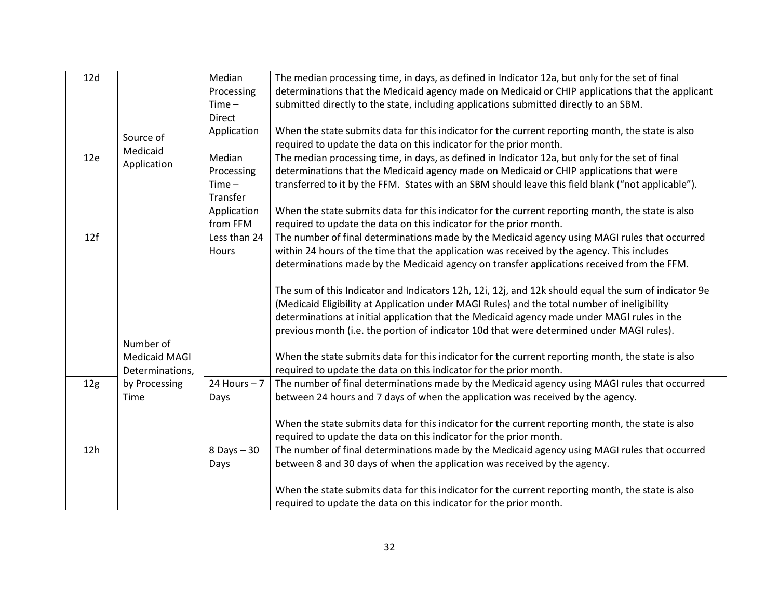| 12d             |                      | Median         | The median processing time, in days, as defined in Indicator 12a, but only for the set of final      |
|-----------------|----------------------|----------------|------------------------------------------------------------------------------------------------------|
|                 |                      | Processing     | determinations that the Medicaid agency made on Medicaid or CHIP applications that the applicant     |
|                 |                      | $Time -$       | submitted directly to the state, including applications submitted directly to an SBM.                |
|                 |                      | Direct         |                                                                                                      |
|                 | Source of            | Application    | When the state submits data for this indicator for the current reporting month, the state is also    |
|                 | Medicaid             |                | required to update the data on this indicator for the prior month.                                   |
| 12e             | Application          | Median         | The median processing time, in days, as defined in Indicator 12a, but only for the set of final      |
|                 |                      | Processing     | determinations that the Medicaid agency made on Medicaid or CHIP applications that were              |
|                 |                      | $Time -$       | transferred to it by the FFM. States with an SBM should leave this field blank ("not applicable").   |
|                 |                      | Transfer       |                                                                                                      |
|                 |                      | Application    | When the state submits data for this indicator for the current reporting month, the state is also    |
|                 |                      | from FFM       | required to update the data on this indicator for the prior month.                                   |
| 12f             |                      | Less than 24   | The number of final determinations made by the Medicaid agency using MAGI rules that occurred        |
|                 |                      | Hours          | within 24 hours of the time that the application was received by the agency. This includes           |
|                 |                      |                | determinations made by the Medicaid agency on transfer applications received from the FFM.           |
|                 |                      |                |                                                                                                      |
|                 |                      |                | The sum of this Indicator and Indicators 12h, 12i, 12j, and 12k should equal the sum of indicator 9e |
|                 |                      |                | (Medicaid Eligibility at Application under MAGI Rules) and the total number of ineligibility         |
|                 |                      |                | determinations at initial application that the Medicaid agency made under MAGI rules in the          |
|                 |                      |                | previous month (i.e. the portion of indicator 10d that were determined under MAGI rules).            |
|                 | Number of            |                |                                                                                                      |
|                 | <b>Medicaid MAGI</b> |                | When the state submits data for this indicator for the current reporting month, the state is also    |
|                 | Determinations,      |                | required to update the data on this indicator for the prior month.                                   |
| 12 <sub>g</sub> | by Processing        | 24 Hours $-7$  | The number of final determinations made by the Medicaid agency using MAGI rules that occurred        |
|                 | Time                 | Days           | between 24 hours and 7 days of when the application was received by the agency.                      |
|                 |                      |                |                                                                                                      |
|                 |                      |                | When the state submits data for this indicator for the current reporting month, the state is also    |
|                 |                      |                | required to update the data on this indicator for the prior month.                                   |
| 12h             |                      | $8$ Days $-30$ | The number of final determinations made by the Medicaid agency using MAGI rules that occurred        |
|                 |                      | Days           | between 8 and 30 days of when the application was received by the agency.                            |
|                 |                      |                |                                                                                                      |
|                 |                      |                | When the state submits data for this indicator for the current reporting month, the state is also    |
|                 |                      |                | required to update the data on this indicator for the prior month.                                   |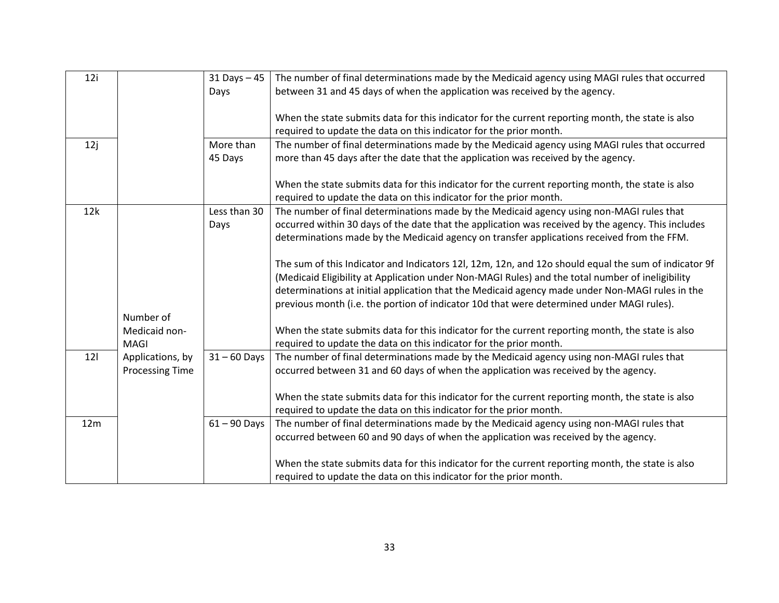| 12i |                        | $31$ Days $-45$ | The number of final determinations made by the Medicaid agency using MAGI rules that occurred        |
|-----|------------------------|-----------------|------------------------------------------------------------------------------------------------------|
|     |                        | Days            | between 31 and 45 days of when the application was received by the agency.                           |
|     |                        |                 |                                                                                                      |
|     |                        |                 | When the state submits data for this indicator for the current reporting month, the state is also    |
|     |                        |                 | required to update the data on this indicator for the prior month.                                   |
| 12j |                        | More than       | The number of final determinations made by the Medicaid agency using MAGI rules that occurred        |
|     |                        | 45 Days         | more than 45 days after the date that the application was received by the agency.                    |
|     |                        |                 |                                                                                                      |
|     |                        |                 | When the state submits data for this indicator for the current reporting month, the state is also    |
|     |                        |                 | required to update the data on this indicator for the prior month.                                   |
| 12k |                        | Less than 30    | The number of final determinations made by the Medicaid agency using non-MAGI rules that             |
|     |                        | Days            | occurred within 30 days of the date that the application was received by the agency. This includes   |
|     |                        |                 | determinations made by the Medicaid agency on transfer applications received from the FFM.           |
|     |                        |                 |                                                                                                      |
|     |                        |                 | The sum of this Indicator and Indicators 12l, 12m, 12n, and 12o should equal the sum of indicator 9f |
|     |                        |                 | (Medicaid Eligibility at Application under Non-MAGI Rules) and the total number of ineligibility     |
|     |                        |                 | determinations at initial application that the Medicaid agency made under Non-MAGI rules in the      |
|     |                        |                 | previous month (i.e. the portion of indicator 10d that were determined under MAGI rules).            |
|     | Number of              |                 |                                                                                                      |
|     | Medicaid non-          |                 | When the state submits data for this indicator for the current reporting month, the state is also    |
|     | MAGI                   |                 | required to update the data on this indicator for the prior month.                                   |
| 121 | Applications, by       | $31 - 60$ Days  | The number of final determinations made by the Medicaid agency using non-MAGI rules that             |
|     | <b>Processing Time</b> |                 | occurred between 31 and 60 days of when the application was received by the agency.                  |
|     |                        |                 |                                                                                                      |
|     |                        |                 | When the state submits data for this indicator for the current reporting month, the state is also    |
|     |                        |                 | required to update the data on this indicator for the prior month.                                   |
| 12m |                        | $61 - 90$ Days  | The number of final determinations made by the Medicaid agency using non-MAGI rules that             |
|     |                        |                 | occurred between 60 and 90 days of when the application was received by the agency.                  |
|     |                        |                 |                                                                                                      |
|     |                        |                 | When the state submits data for this indicator for the current reporting month, the state is also    |
|     |                        |                 | required to update the data on this indicator for the prior month.                                   |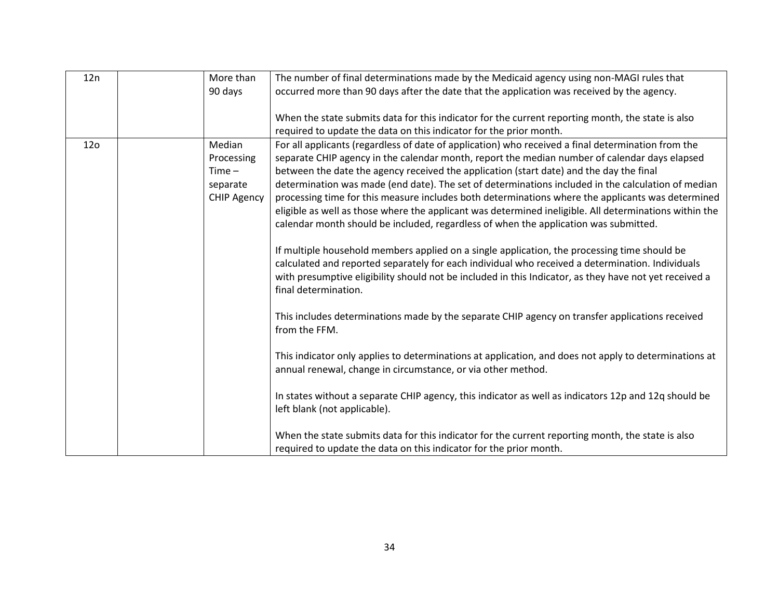| 12n             | More than          | The number of final determinations made by the Medicaid agency using non-MAGI rules that                         |
|-----------------|--------------------|------------------------------------------------------------------------------------------------------------------|
|                 | 90 days            | occurred more than 90 days after the date that the application was received by the agency.                       |
|                 |                    |                                                                                                                  |
|                 |                    | When the state submits data for this indicator for the current reporting month, the state is also                |
|                 |                    | required to update the data on this indicator for the prior month.                                               |
| 12 <sub>0</sub> | Median             | For all applicants (regardless of date of application) who received a final determination from the               |
|                 | Processing         | separate CHIP agency in the calendar month, report the median number of calendar days elapsed                    |
|                 | $Time -$           | between the date the agency received the application (start date) and the day the final                          |
|                 | separate           | determination was made (end date). The set of determinations included in the calculation of median               |
|                 | <b>CHIP Agency</b> | processing time for this measure includes both determinations where the applicants was determined                |
|                 |                    | eligible as well as those where the applicant was determined ineligible. All determinations within the           |
|                 |                    | calendar month should be included, regardless of when the application was submitted.                             |
|                 |                    |                                                                                                                  |
|                 |                    | If multiple household members applied on a single application, the processing time should be                     |
|                 |                    | calculated and reported separately for each individual who received a determination. Individuals                 |
|                 |                    | with presumptive eligibility should not be included in this Indicator, as they have not yet received a           |
|                 |                    | final determination.                                                                                             |
|                 |                    |                                                                                                                  |
|                 |                    | This includes determinations made by the separate CHIP agency on transfer applications received<br>from the FFM. |
|                 |                    |                                                                                                                  |
|                 |                    | This indicator only applies to determinations at application, and does not apply to determinations at            |
|                 |                    | annual renewal, change in circumstance, or via other method.                                                     |
|                 |                    |                                                                                                                  |
|                 |                    | In states without a separate CHIP agency, this indicator as well as indicators 12p and 12q should be             |
|                 |                    | left blank (not applicable).                                                                                     |
|                 |                    |                                                                                                                  |
|                 |                    | When the state submits data for this indicator for the current reporting month, the state is also                |
|                 |                    | required to update the data on this indicator for the prior month.                                               |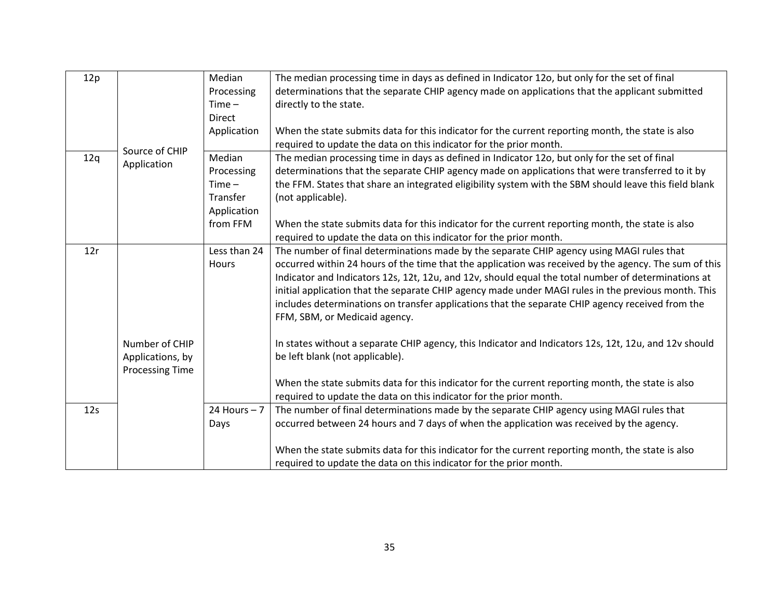|                | Median                                                                      | The median processing time in days as defined in Indicator 120, but only for the set of final          |
|----------------|-----------------------------------------------------------------------------|--------------------------------------------------------------------------------------------------------|
|                | Processing                                                                  | determinations that the separate CHIP agency made on applications that the applicant submitted         |
|                | $Time -$                                                                    | directly to the state.                                                                                 |
|                | <b>Direct</b>                                                               |                                                                                                        |
|                | Application                                                                 | When the state submits data for this indicator for the current reporting month, the state is also      |
|                |                                                                             | required to update the data on this indicator for the prior month.                                     |
|                | Median                                                                      | The median processing time in days as defined in Indicator 12o, but only for the set of final          |
|                | Processing                                                                  | determinations that the separate CHIP agency made on applications that were transferred to it by       |
|                | $Time -$                                                                    | the FFM. States that share an integrated eligibility system with the SBM should leave this field blank |
|                | Transfer                                                                    | (not applicable).                                                                                      |
|                | Application                                                                 |                                                                                                        |
|                | from FFM                                                                    | When the state submits data for this indicator for the current reporting month, the state is also      |
|                |                                                                             | required to update the data on this indicator for the prior month.                                     |
|                | Less than 24                                                                | The number of final determinations made by the separate CHIP agency using MAGI rules that              |
|                | Hours                                                                       | occurred within 24 hours of the time that the application was received by the agency. The sum of this  |
|                |                                                                             | Indicator and Indicators 12s, 12t, 12u, and 12v, should equal the total number of determinations at    |
|                |                                                                             | initial application that the separate CHIP agency made under MAGI rules in the previous month. This    |
|                |                                                                             | includes determinations on transfer applications that the separate CHIP agency received from the       |
|                |                                                                             | FFM, SBM, or Medicaid agency.                                                                          |
|                |                                                                             |                                                                                                        |
| Number of CHIP |                                                                             | In states without a separate CHIP agency, this Indicator and Indicators 12s, 12t, 12u, and 12v should  |
|                |                                                                             | be left blank (not applicable).                                                                        |
|                |                                                                             |                                                                                                        |
|                |                                                                             | When the state submits data for this indicator for the current reporting month, the state is also      |
|                |                                                                             | required to update the data on this indicator for the prior month.                                     |
|                | 24 Hours $-7$                                                               | The number of final determinations made by the separate CHIP agency using MAGI rules that              |
|                | Days                                                                        | occurred between 24 hours and 7 days of when the application was received by the agency.               |
|                |                                                                             |                                                                                                        |
|                |                                                                             | When the state submits data for this indicator for the current reporting month, the state is also      |
|                |                                                                             | required to update the data on this indicator for the prior month.                                     |
|                | Source of CHIP<br>Application<br>Applications, by<br><b>Processing Time</b> |                                                                                                        |